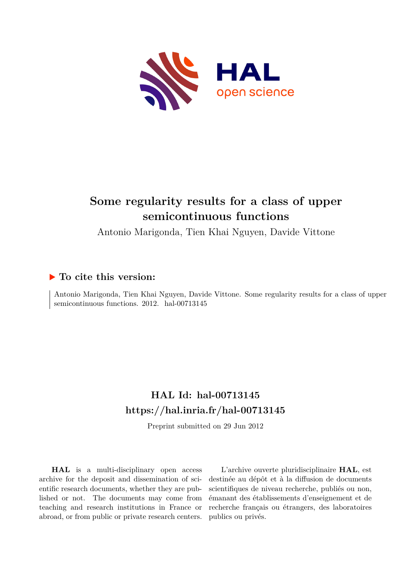

# **Some regularity results for a class of upper semicontinuous functions**

Antonio Marigonda, Tien Khai Nguyen, Davide Vittone

## **To cite this version:**

Antonio Marigonda, Tien Khai Nguyen, Davide Vittone. Some regularity results for a class of upper semicontinuous functions. 2012. hal-00713145

## **HAL Id: hal-00713145 <https://hal.inria.fr/hal-00713145>**

Preprint submitted on 29 Jun 2012

**HAL** is a multi-disciplinary open access archive for the deposit and dissemination of scientific research documents, whether they are published or not. The documents may come from teaching and research institutions in France or abroad, or from public or private research centers.

L'archive ouverte pluridisciplinaire **HAL**, est destinée au dépôt et à la diffusion de documents scientifiques de niveau recherche, publiés ou non, émanant des établissements d'enseignement et de recherche français ou étrangers, des laboratoires publics ou privés.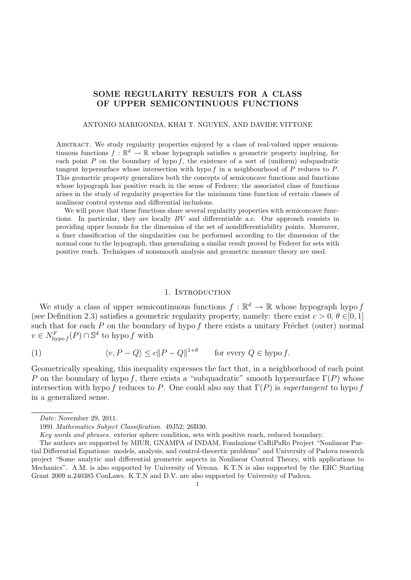## SOME REGULARITY RESULTS FOR A CLASS OF UPPER SEMICONTINUOUS FUNCTIONS

#### ANTONIO MARIGONDA, KHAI T. NGUYEN, AND DAVIDE VITTONE

Abstract. We study regularity properties enjoyed by a class of real-valued upper semicontinuous functions  $f : \mathbb{R}^d \to \mathbb{R}$  whose hypograph satisfies a geometric property implying, for each point  $P$  on the boundary of hypo  $f$ , the existence of a sort of (uniform) subquadratic tangent hypersurface whose intersection with hypo  $f$  in a neighbourhood of  $P$  reduces to  $P$ . This geometric property generalizes both the concepts of semiconcave functions and functions whose hypograph has positive reach in the sense of Federer; the associated class of functions arises in the study of regularity properties for the minimum time function of certain classes of nonlinear control systems and differential inclusions.

We will prove that these functions share several regularity properties with semiconcave functions. In particular, they are locally BV and differentiable a.e. Our approach consists in providing upper bounds for the dimension of the set of nondifferentiability points. Moreover, a finer classification of the singularities can be performed according to the dimension of the normal cone to the hypograph, thus generalizing a similar result proved by Federer for sets with positive reach. Techniques of nonsmooth analysis and geometric measure theory are used.

#### 1. INTRODUCTION

We study a class of upper semicontinuous functions  $f : \mathbb{R}^d \to \mathbb{R}$  whose hypograph hypo f (see Definition 2.3) satisfies a geometric regularity property, namely: there exist  $c > 0, \theta \in ]0,1]$ such that for each  $P$  on the boundary of hypo  $f$  there exists a unitary Fréchet (outer) normal  $v \in N^F_{\text{hypo } f}(P) \cap \mathbb{S}^d$  to hypo f with

(1) 
$$
\langle v, P - Q \rangle \le c \|P - Q\|^{1+\theta} \quad \text{for every } Q \in \text{hypo } f.
$$

Geometrically speaking, this inequality expresses the fact that, in a neighborhood of each point P on the boundary of hypo f, there exists a "subquadratic" smooth hypersurface  $\Gamma(P)$  whose intersection with hypo f reduces to P. One could also say that  $\Gamma(P)$  is *supertangent* to hypo f in a generalized sense.

Date: November 29, 2011.

<sup>1991</sup> Mathematics Subject Classification. 49J52; 26B30.

Key words and phrases. exterior sphere condition, sets with positive reach, reduced boundary.

The authors are supported by MIUR, GNAMPA of INDAM, Fondazione CaRiPaRo Project "Nonlinear Partial Differential Equations: models, analysis, and control-theoretic problems" and University of Padova research project "Some analytic and differential geometric aspects in Nonlinear Control Theory, with applications to Mechanics". A.M. is also supported by University of Verona. K.T.N is also supported by the ERC Starting Grant 2009 n.240385 ConLaws. K.T.N and D.V. are also supported by University of Padova.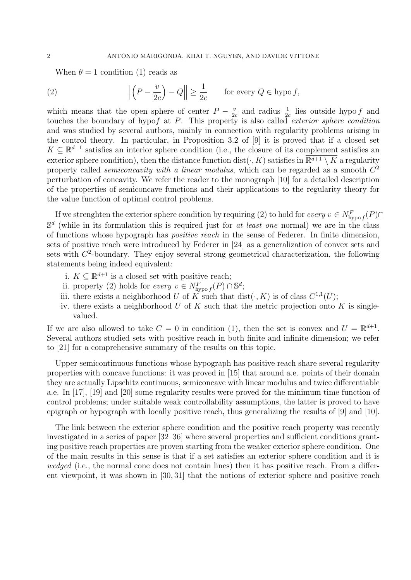When  $\theta = 1$  condition (1) reads as

(2) 
$$
\left\| \left( P - \frac{v}{2c} \right) - Q \right\| \ge \frac{1}{2c} \quad \text{for every } Q \in \text{hypo } f,
$$

which means that the open sphere of center  $P - \frac{v}{2v}$  $\frac{v}{2c}$  and radius  $\frac{1}{2c}$  lies outside hypo f and touches the boundary of hypof at P. This property is also called *exterior sphere condition* and was studied by several authors, mainly in connection with regularity problems arising in the control theory. In particular, in Proposition 3.2 of [9] it is proved that if a closed set  $K \subseteq \mathbb{R}^{d+1}$  satisfies an interior sphere condition (i.e., the closure of its complement satisfies an exterior sphere condition), then the distance function dist( $\cdot$ , K) satisfies in  $\overline{\mathbb{R}^{d+1} \setminus K}$  a regularity property called *semiconcavity with a linear modulus*, which can be regarded as a smooth  $C^2$ perturbation of concavity. We refer the reader to the monograph [10] for a detailed description of the properties of semiconcave functions and their applications to the regularity theory for the value function of optimal control problems.

If we strenghten the exterior sphere condition by requiring (2) to hold for  $every \ v \in N^F_{\text{hypo }f}(P) \cap$  $\mathbb{S}^d$  (while in its formulation this is required just for at least one normal) we are in the class of functions whose hypograph has positive reach in the sense of Federer. In finite dimension, sets of positive reach were introduced by Federer in [24] as a generalization of convex sets and sets with  $C<sup>2</sup>$ -boundary. They enjoy several strong geometrical characterization, the following statements being indeed equivalent:

- i.  $K \subseteq \mathbb{R}^{d+1}$  is a closed set with positive reach;
- ii. property (2) holds for  $every\ v \in N^F_{\text{hypo }f}(P) \cap \mathbb{S}^d;$
- iii. there exists a neighborhood U of K such that  $dist(\cdot, K)$  is of class  $C^{1,1}(U)$ ;
- iv. there exists a neighborhood  $U$  of  $K$  such that the metric projection onto  $K$  is singlevalued.

If we are also allowed to take  $C = 0$  in condition (1), then the set is convex and  $U = \mathbb{R}^{d+1}$ . Several authors studied sets with positive reach in both finite and infinite dimension; we refer to [21] for a comprehensive summary of the results on this topic.

Upper semicontinuous functions whose hypograph has positive reach share several regularity properties with concave functions: it was proved in [15] that around a.e. points of their domain they are actually Lipschitz continuous, semiconcave with linear modulus and twice differentiable a.e. In [17], [19] and [20] some regularity results were proved for the minimum time function of control problems; under suitable weak controllability assumptions, the latter is proved to have epigraph or hypograph with locally positive reach, thus generalizing the results of [9] and [10].

The link between the exterior sphere condition and the positive reach property was recently investigated in a series of paper [32–36] where several properties and sufficient conditions granting positive reach properties are proven starting from the weaker exterior sphere condition. One of the main results in this sense is that if a set satisfies an exterior sphere condition and it is wedged (i.e., the normal cone does not contain lines) then it has positive reach. From a different viewpoint, it was shown in [30, 31] that the notions of exterior sphere and positive reach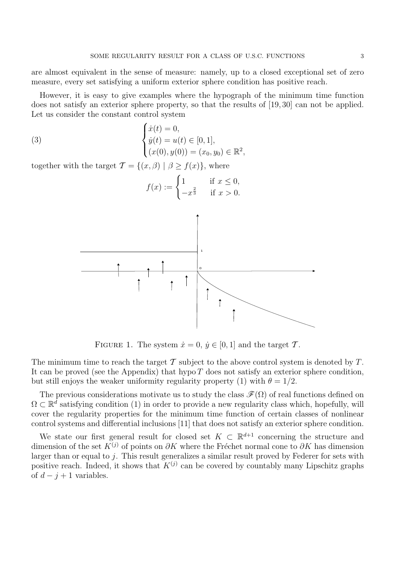are almost equivalent in the sense of measure: namely, up to a closed exceptional set of zero measure, every set satisfying a uniform exterior sphere condition has positive reach.

However, it is easy to give examples where the hypograph of the minimum time function does not satisfy an exterior sphere property, so that the results of [19, 30] can not be applied. Let us consider the constant control system

(3) 
$$
\begin{cases} \dot{x}(t) = 0, \\ \dot{y}(t) = u(t) \in [0, 1], \\ (x(0), y(0)) = (x_0, y_0) \in \mathbb{R}^2, \end{cases}
$$

together with the target  $\mathcal{T} = \{(x, \beta) \mid \beta \ge f(x)\}\,$ , where

$$
f(x) := \begin{cases} 1 & \text{if } x \le 0, \\ -x^{\frac{2}{3}} & \text{if } x > 0. \end{cases}
$$



FIGURE 1. The system  $\dot{x} = 0, \, \dot{y} \in [0, 1]$  and the target T.

The minimum time to reach the target  $\mathcal T$  subject to the above control system is denoted by  $T$ . It can be proved (see the Appendix) that hypo  $T$  does not satisfy an exterior sphere condition, but still enjoys the weaker uniformity regularity property (1) with  $\theta = 1/2$ .

The previous considerations motivate us to study the class  $\mathcal{F}(\Omega)$  of real functions defined on  $\Omega \subset \mathbb{R}^d$  satisfying condition (1) in order to provide a new regularity class which, hopefully, will cover the regularity properties for the minimum time function of certain classes of nonlinear control systems and differential inclusions [11] that does not satisfy an exterior sphere condition.

We state our first general result for closed set  $K \subset \mathbb{R}^{d+1}$  concerning the structure and dimension of the set  $K^{(j)}$  of points on ∂K where the Fréchet normal cone to ∂K has dimension larger than or equal to j. This result generalizes a similar result proved by Federer for sets with positive reach. Indeed, it shows that  $K^{(j)}$  can be covered by countably many Lipschitz graphs of  $d - j + 1$  variables.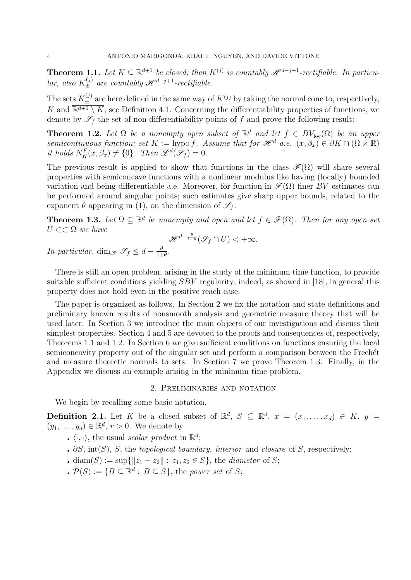**Theorem 1.1.** Let  $K \subseteq \mathbb{R}^{d+1}$  be closed; then  $K^{(j)}$  is countably  $\mathcal{H}^{d-j+1}$ -rectifiable. In particular, also  $K_{\pm}^{(j)}$  are countably  $\mathscr{H}^{d-j+1}$ -rectifiable.

The sets  $K_{\pm}^{(j)}$  are here defined in the same way of  $K^{(j)}$  by taking the normal cone to, respectively, K and  $\overline{\mathbb{R}^{d+1} \setminus K}$ ; see Definition 4.1. Concerning the differentiability properties of functions, we denote by  $\mathscr{S}_f$  the set of non-differentiability points of f and prove the following result:

**Theorem 1.2.** Let  $\Omega$  be a nonempty open subset of  $\mathbb{R}^d$  and let  $f \in BV_{loc}(\Omega)$  be an upper semicontinuous function; set  $K := \text{hypo } f$ . Assume that for  $\mathscr{H}^d$ -a.e.  $(x, \beta_x) \in \partial K \cap (\Omega \times \mathbb{R})$ it holds  $N_K^F(x, \beta_x) \neq \{0\}$ . Then  $\mathscr{L}^d(\mathscr{S}_f) = 0$ .

The previous result is applied to show that functions in the class  $\mathscr{F}(\Omega)$  will share several properties with semiconcave functions with a nonlinear modulus like having (locally) bounded variation and being differentiable a.e. Moreover, for function in  $\mathscr{F}(\Omega)$  finer BV estimates can be performed around singular points; such estimates give sharp upper bounds, related to the exponent  $\theta$  appearing in (1), on the dimension of  $\mathscr{S}_f$ .

**Theorem 1.3.** Let  $\Omega \subseteq \mathbb{R}^d$  be nonempty and open and let  $f \in \mathscr{F}(\Omega)$ . Then for any open set  $U \subset\subset \Omega$  we have

$$
\mathcal{H}^{d-\frac{\theta}{1+\theta}}(\mathcal{S}_f \cap U) < +\infty.
$$
  
In particular,  $\dim_{\mathcal{H}} \mathcal{S}_f \leq d - \frac{\theta}{1+\theta}.$ 

There is still an open problem, arising in the study of the minimum time function, to provide suitable sufficient conditions yielding SBV regularity; indeed, as showed in [18], in general this property does not hold even in the positive reach case.

The paper is organized as follows. In Section 2 we fix the notation and state definitions and preliminary known results of nonsmooth analysis and geometric measure theory that will be used later. In Section 3 we introduce the main objects of our investigations and discuss their simplest properties. Section 4 and 5 are devoted to the proofs and consequences of, respectively, Theorems 1.1 and 1.2. In Section 6 we give sufficient conditions on functions ensuring the local semiconcavity property out of the singular set and perform a comparison between the Frechet and measure theoretic normals to sets. In Section 7 we prove Theorem 1.3. Finally, in the Appendix we discuss an example arising in the minimum time problem.

#### 2. Preliminaries and notation

We begin by recalling some basic notation.

**Definition 2.1.** Let K be a closed subset of  $\mathbb{R}^d$ ,  $S \subseteq \mathbb{R}^d$ ,  $x = (x_1, \ldots, x_d) \in K$ ,  $y =$  $(y_1, \ldots, y_d) \in \mathbb{R}^d$ ,  $r > 0$ . We denote by

- $\langle \cdot, \cdot \rangle$ , the usual scalar product in  $\mathbb{R}^d$ ;
- $\partial S$ , int(S),  $\overline{S}$ , the topological boundary, interior and closure of S, respectively;
- diam(S) := sup{ $||z_1 z_2|| : z_1, z_2 \in S$ }, the *diameter* of S;
- $\mathcal{P}(S) := \{ B \subseteq \mathbb{R}^d : B \subseteq S \},\$  the power set of S;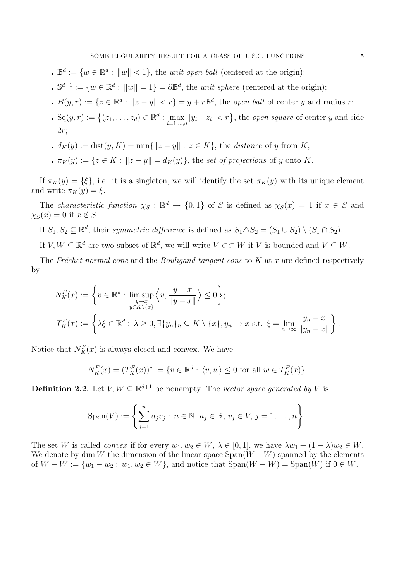- $\mathbb{B}^d := \{ w \in \mathbb{R}^d : ||w|| < 1 \},\$  the unit open ball (centered at the origin);
- $\mathbb{S}^{d-1} := \{w \in \mathbb{R}^d : ||w|| = 1\} = \partial \mathbb{B}^d$ , the *unit sphere* (centered at the origin);
- $B(y,r) := \{z \in \mathbb{R}^d : ||z y|| < r\} = y + r\mathbb{B}^d$ , the *open ball* of center y and radius r;
- $\mathbf{S}_q(y,r) := \{(z_1,\ldots,z_d) \in \mathbb{R}^d : \max_{i=1,\ldots,d} |y_i z_i| < r\},\$ the open square of center y and side  $2r$ :
- **d**<sub>K</sub>(y) := dist(y, K) = min{ $||z y||$  : z ∈ K}, the distance of y from K;
- $\pi_K(y) := \{z \in K : ||z y|| = d_K(y)\}\$ , the set of projections of y onto K.

If  $\pi_K(y) = {\xi}$ , i.e. it is a singleton, we will identify the set  $\pi_K(y)$  with its unique element and write  $\pi_K(y) = \xi$ .

The *characteristic function*  $\chi_S : \mathbb{R}^d \to \{0,1\}$  of S is defined as  $\chi_S(x) = 1$  if  $x \in S$  and  $\chi_S(x) = 0$  if  $x \notin S$ .

- If  $S_1, S_2 \subseteq \mathbb{R}^d$ , their symmetric difference is defined as  $S_1 \triangle S_2 = (S_1 \cup S_2) \setminus (S_1 \cap S_2)$ .
- If  $V, W \subseteq \mathbb{R}^d$  are two subset of  $\mathbb{R}^d$ , we will write  $V \subset\subset W$  if V is bounded and  $\overline{V} \subseteq W$ .

The Fréchet normal cone and the Bouligand tangent cone to K at x are defined respectively by

$$
N_K^F(x) := \left\{ v \in \mathbb{R}^d : \limsup_{\substack{y \to x \\ y \in K \setminus \{x\}}} \left\langle v, \frac{y - x}{\|y - x\|} \right\rangle \le 0 \right\};
$$
  

$$
T_K^F(x) := \left\{ \lambda \xi \in \mathbb{R}^d : \lambda \ge 0, \exists \{y_n\}_n \subseteq K \setminus \{x\}, y_n \to x \text{ s.t. } \xi = \lim_{n \to \infty} \frac{y_n - x}{\|y_n - x\|} \right\}.
$$

Notice that  $N_K^F(x)$  is always closed and convex. We have

$$
N_K^F(x) = (T_K^F(x))^* := \{v \in \mathbb{R}^d : \langle v, w \rangle \le 0 \text{ for all } w \in T_K^F(x)\}.
$$

**Definition 2.2.** Let  $V, W \subseteq \mathbb{R}^{d+1}$  be nonempty. The vector space generated by V is

Span(V) := 
$$
\left\{\sum_{j=1}^{n} a_j v_j : n \in \mathbb{N}, a_j \in \mathbb{R}, v_j \in V, j = 1, ..., n\right\}.
$$

The set W is called *convex* if for every  $w_1, w_2 \in W$ ,  $\lambda \in [0, 1]$ , we have  $\lambda w_1 + (1 - \lambda)w_2 \in W$ . We denote by dim W the dimension of the linear space  $\text{Span}(W - W)$  spanned by the elements of  $W - W := \{w_1 - w_2 : w_1, w_2 \in W\}$ , and notice that  $\text{Span}(W - W) = \text{Span}(W)$  if  $0 \in W$ .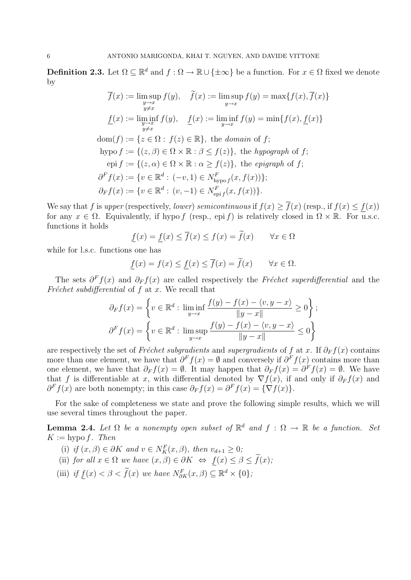**Definition 2.3.** Let  $\Omega \subseteq \mathbb{R}^d$  and  $f : \Omega \to \mathbb{R} \cup {\{\pm \infty\}}$  be a function. For  $x \in \Omega$  fixed we denote by

$$
\overline{f}(x) := \limsup_{\substack{y \to x \\ y \neq x}} f(y), \quad \widetilde{f}(x) := \limsup_{y \to x} f(y) = \max\{f(x), \overline{f}(x)\}
$$
\n
$$
\underline{f}(x) := \liminf_{\substack{y \to x \\ y \neq x}} f(y), \quad \underline{f}(x) := \liminf_{\substack{y \to x \\ y \to x}} f(y) = \min\{f(x), \underline{f}(x)\}
$$
\n
$$
\text{dom}(f) := \{z \in \Omega : f(z) \in \mathbb{R}\}, \text{ the domain of } f;
$$
\n
$$
\text{hypo } f := \{(z, \beta) \in \Omega \times \mathbb{R} : \beta \le f(z)\}, \text{ the } hypergraph \text{ of } f;
$$
\n
$$
\text{epi } f := \{(z, \alpha) \in \Omega \times \mathbb{R} : \alpha \ge f(z)\}, \text{ the } epigraph \text{ of } f;
$$
\n
$$
\partial^F f(x) := \{v \in \mathbb{R}^d : (-v, 1) \in N^F_{\text{hypof}}(x, f(x))\};
$$
\n
$$
\partial_F f(x) := \{v \in \mathbb{R}^d : (v, -1) \in N^F_{\text{epi } f}(x, f(x))\}.
$$

We say that f is upper (respectively, lower) semicontinuous if  $f(x) \geq \overline{f}(x)$  (resp., if  $f(x) \leq f(x)$ ) for any  $x \in \Omega$ . Equivalently, if hypo f (resp., epi f) is relatively closed in  $\Omega \times \mathbb{R}$ . For u.s.c. functions it holds

$$
\underline{f}(x) = \underline{f}(x) \le \overline{f}(x) \le f(x) = f(x) \qquad \forall x \in \Omega
$$

while for l.s.c. functions one has

$$
\underline{f}(x) = f(x) \le \underline{f}(x) \le \overline{f}(x) = \widetilde{f}(x) \qquad \forall x \in \Omega.
$$

The sets  $\partial^F f(x)$  and  $\partial_F f(x)$  are called respectively the Fréchet superdifferential and the Fréchet subdifferential of  $f$  at  $x$ . We recall that

$$
\partial_F f(x) = \left\{ v \in \mathbb{R}^d : \liminf_{y \to x} \frac{f(y) - f(x) - \langle v, y - x \rangle}{\|y - x\|} \ge 0 \right\};
$$
  

$$
\partial^F f(x) = \left\{ v \in \mathbb{R}^d : \limsup_{y \to x} \frac{f(y) - f(x) - \langle v, y - x \rangle}{\|y - x\|} \le 0 \right\}
$$

are respectively the set of Fréchet subgradients and supergradients of f at x. If  $\partial_F f(x)$  contains more than one element, we have that  $\partial^F f(x) = \emptyset$  and conversely if  $\partial^F f(x)$  contains more than one element, we have that  $\partial_F f(x) = \emptyset$ . It may happen that  $\partial_F f(x) = \partial^F f(x) = \emptyset$ . We have that f is differentiable at x, with differential denoted by  $\nabla f(x)$ , if and only if  $\partial_F f(x)$  and  $\partial^F f(x)$  are both nonempty; in this case  $\partial_F f(x) = \partial^F f(x) = {\nabla f(x)}$ .

For the sake of completeness we state and prove the following simple results, which we will use several times throughout the paper.

**Lemma 2.4.** Let  $\Omega$  be a nonempty open subset of  $\mathbb{R}^d$  and  $f : \Omega \to \mathbb{R}$  be a function. Set  $K := \text{hypo } f$ . Then

- (i) if  $(x, \beta) \in \partial K$  and  $v \in N_K^F(x, \beta)$ , then  $v_{d+1} \geq 0$ ;
- (ii) for all  $x \in \Omega$  we have  $(x, \beta) \in \partial K \iff f(x) \leq \beta \leq f(x)$ ;
- (iii) if  $f(x) < \beta < f(x)$  we have  $N_{\partial K}^F(x,\beta) \subseteq \mathbb{R}^d \times \{0\}$ ;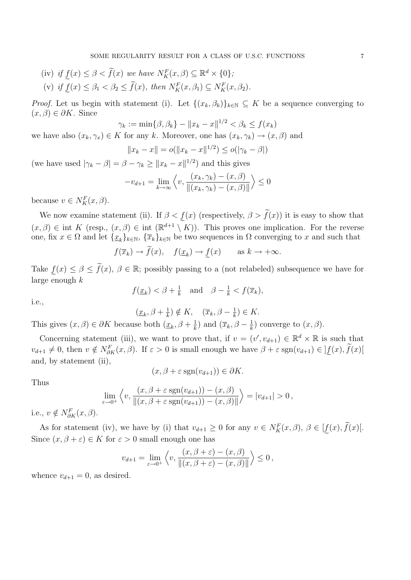(iv) if  $f(x) \leq \beta < f(x)$  we have  $N_K^F(x, \beta) \subseteq \mathbb{R}^d \times \{0\};$ (v) if  $\underline{f}(x) \leq \beta_1 < \beta_2 \leq f(x)$ , then  $N_K^F(x, \beta_1) \subseteq N_K^F(x, \beta_2)$ .

*Proof.* Let us begin with statement (i). Let  $\{(x_k, \beta_k)\}_{k\in\mathbb{N}} \subseteq K$  be a sequence converging to  $(x, \beta) \in \partial K$ . Since

$$
\gamma_k := \min\{\beta, \beta_k\} - \|x_k - x\|^{1/2} < \beta_k \le f(x_k)
$$

we have also  $(x_k, \gamma_x) \in K$  for any k. Moreover, one has  $(x_k, \gamma_k) \to (x, \beta)$  and

$$
||x_k - x|| = o(||x_k - x||^{1/2}) \le o(|\gamma_k - \beta|)
$$

(we have used  $|\gamma_k - \beta| = \beta - \gamma_k \ge ||x_k - x||^{1/2}$ ) and this gives

$$
-v_{d+1} = \lim_{k \to \infty} \left\langle v, \frac{(x_k, \gamma_k) - (x, \beta)}{\|(x_k, \gamma_k) - (x, \beta)\|} \right\rangle \le 0
$$

because  $v \in N_K^F(x,\beta)$ .

We now examine statement (ii). If  $\beta < f(x)$  (respectively,  $\beta > f(x)$ ) it is easy to show that  $(x, \beta) \in \text{int } K \text{ (resp., } (x, \beta) \in \text{int } (\mathbb{R}^{d+1} \setminus K))$ . This proves one implication. For the reverse one, fix  $x \in \Omega$  and let  $\{\underline{x}_k\}_{k \in \mathbb{N}}$ ,  $\{\overline{x}_k\}_{k \in \mathbb{N}}$  be two sequences in  $\Omega$  converging to x and such that

$$
f(\overline{x}_k) \to \widetilde{f}(x), \quad f(\underline{x}_k) \to \underline{f}(x) \quad \text{as } k \to +\infty.
$$

Take  $\underline{f}(x) \leq \beta \leq \tilde{f}(x), \beta \in \mathbb{R}$ ; possibly passing to a (not relabeled) subsequence we have for large enough  $k$ 

$$
f(\underline{x}_k) < \beta + \frac{1}{k}
$$
 and  $\beta - \frac{1}{k} < f(\overline{x}_k)$ ,

i.e.,

 $(\underline{x}_k, \beta + \frac{1}{k})$  $(\overline{x}_k) \notin K$ ,  $(\overline{x}_k, \beta - \frac{1}{k})$  $(\frac{1}{k}) \in K.$ 

This gives  $(x, \beta) \in \partial K$  because both  $(\underline{x}_k, \beta + \frac{1}{k})$  $\frac{1}{k}$ ) and  $(\overline{x}_k, \beta - \frac{1}{k})$  $\frac{1}{k}$ ) converge to  $(x, \beta)$ .

Concerning statement (iii), we want to prove that, if  $v = (v', v_{d+1}) \in \mathbb{R}^d \times \mathbb{R}$  is such that  $v_{d+1} \neq 0$ , then  $v \notin N_{\partial K}^F(x, \beta)$ . If  $\varepsilon > 0$  is small enough we have  $\beta + \varepsilon \operatorname{sgn}(v_{d+1}) \in ]\underline{f}(x), \overline{f}(x)]$ and, by statement (ii),

$$
(x,\beta+\varepsilon\,\mathrm{sgn}(v_{d+1}))\in\partial K.
$$

Thus

$$
\lim_{\varepsilon \to 0^+} \left\langle v, \frac{(x, \beta + \varepsilon \operatorname{sgn}(v_{d+1})) - (x, \beta)}{\|(x, \beta + \varepsilon \operatorname{sgn}(v_{d+1})) - (x, \beta)\|} \right\rangle = |v_{d+1}| > 0,
$$

i.e.,  $v \notin N_{\partial K}^F(x,\beta)$ .

As for statement (iv), we have by (i) that  $v_{d+1} \geq 0$  for any  $v \in N_K^F(x, \beta)$ ,  $\beta \in [\underline{f}(x), \overline{f}(x)]$ . Since  $(x, \beta + \varepsilon) \in K$  for  $\varepsilon > 0$  small enough one has

$$
v_{d+1} = \lim_{\varepsilon \to 0^+} \left\langle v, \frac{(x, \beta + \varepsilon) - (x, \beta)}{\|(x, \beta + \varepsilon) - (x, \beta)\|} \right\rangle \le 0,
$$

whence  $v_{d+1} = 0$ , as desired.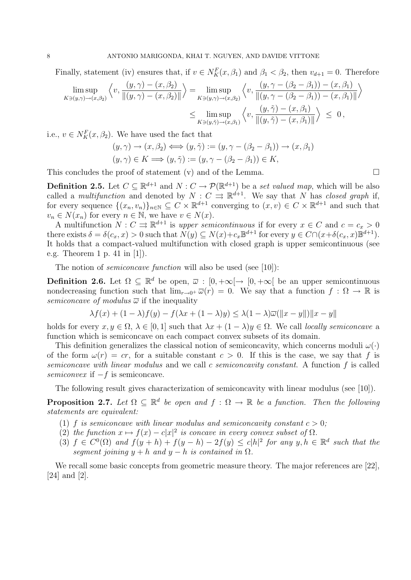Finally, statement (iv) ensures that, if  $v \in N_K^F(x, \beta_1)$  and  $\beta_1 < \beta_2$ , then  $v_{d+1} = 0$ . Therefore

$$
\limsup_{K \ni(y,\gamma) \to (x,\beta_2)} \left\langle v, \frac{(y,\gamma) - (x,\beta_2)}{\|(y,\gamma) - (x,\beta_2)\|} \right\rangle = \limsup_{K \ni(y,\gamma) \to (x,\beta_2)} \left\langle v, \frac{(y,\gamma - (\beta_2 - \beta_1)) - (x,\beta_1)}{\|(y,\gamma - (\beta_2 - \beta_1)) - (x,\beta_1)\|} \right\rangle
$$
  

$$
\leq \limsup_{K \ni(y,\tilde{\gamma}) \to (x,\beta_1)} \left\langle v, \frac{(y,\tilde{\gamma}) - (x,\beta_1)}{\|(y,\tilde{\gamma}) - (x,\beta_1)\|} \right\rangle \leq 0,
$$

i.e.,  $v \in N_K^F(x, \beta_2)$ . We have used the fact that

$$
(y, \gamma) \to (x, \beta_2) \Longleftrightarrow (y, \tilde{\gamma}) := (y, \gamma - (\beta_2 - \beta_1)) \to (x, \beta_1)
$$
  

$$
(y, \gamma) \in K \Longrightarrow (y, \tilde{\gamma}) := (y, \gamma - (\beta_2 - \beta_1)) \in K,
$$

This concludes the proof of statement  $(v)$  and of the Lemma.

**Definition 2.5.** Let  $C \subseteq \mathbb{R}^{d+1}$  and  $N : C \to \mathcal{P}(\mathbb{R}^{d+1})$  be a set valued map, which will be also called a *multifunction* and denoted by  $N: C \rightrightarrows \mathbb{R}^{d+1}$ . We say that N has closed graph if, for every sequence  $\{(x_n, v_n)\}_{n\in\mathbb{N}} \subseteq C \times \mathbb{R}^{d+1}$  converging to  $(x, v) \in C \times \mathbb{R}^{d+1}$  and such that  $v_n \in N(x_n)$  for every  $n \in \mathbb{N}$ , we have  $v \in N(x)$ .

A multifunction  $N: C \rightrightarrows \mathbb{R}^{d+1}$  is upper semicontinuous if for every  $x \in C$  and  $c = c_x > 0$ there exists  $\delta = \delta(c_x, x) > 0$  such that  $N(y) \subseteq N(x) + c_x \mathbb{B}^{d+1}$  for every  $y \in C \cap (x + \delta(c_x, x) \mathbb{B}^{d+1})$ . It holds that a compact-valued multifunction with closed graph is upper semicontinuous (see e.g. Theorem 1 p. 41 in [1]).

The notion of *semiconcave function* will also be used (see [10]):

**Definition 2.6.** Let  $\Omega \subseteq \mathbb{R}^d$  be open,  $\overline{\omega} : [0, +\infty[ \rightarrow [0, +\infty[$  be an upper semicontinuous nondecreasing function such that  $\lim_{r\to 0^+} \overline{\omega}(r) = 0$ . We say that a function  $f : \Omega \to \mathbb{R}$  is semiconcave of modulus  $\overline{\omega}$  if the inequality

$$
\lambda f(x) + (1 - \lambda)f(y) - f(\lambda x + (1 - \lambda)y) \le \lambda (1 - \lambda)\overline{\omega}(\Vert x - y \Vert) \Vert x - y \Vert
$$

holds for every  $x, y \in \Omega$ ,  $\lambda \in [0, 1]$  such that  $\lambda x + (1 - \lambda)y \in \Omega$ . We call locally semiconcave a function which is semiconcave on each compact convex subsets of its domain.

This definition generalizes the classical notion of semiconcavity, which concerns moduli  $\omega(\cdot)$ of the form  $\omega(r) = cr$ , for a suitable constant  $c > 0$ . If this is the case, we say that f is semiconcave with linear modulus and we call c semiconcavity constant. A function f is called semiconvex if  $-f$  is semiconcave.

The following result gives characterization of semiconcavity with linear modulus (see [10]).

**Proposition 2.7.** Let  $\Omega \subseteq \mathbb{R}^d$  be open and  $f : \Omega \to \mathbb{R}$  be a function. Then the following statements are equivalent:

- (1) f is semiconcave with linear modulus and semiconcavity constant  $c > 0$ ;
- (2) the function  $x \mapsto f(x) c|x|^2$  is concave in every convex subset of  $\Omega$ .
- (3)  $f \in C^{0}(\Omega)$  and  $f(y+h) + f(y-h) 2f(y) \leq c|h|^{2}$  for any  $y, h \in \mathbb{R}^{d}$  such that the segment joining  $y + h$  and  $y - h$  is contained in  $\Omega$ .

We recall some basic concepts from geometric measure theory. The major references are [22], [24] and [2].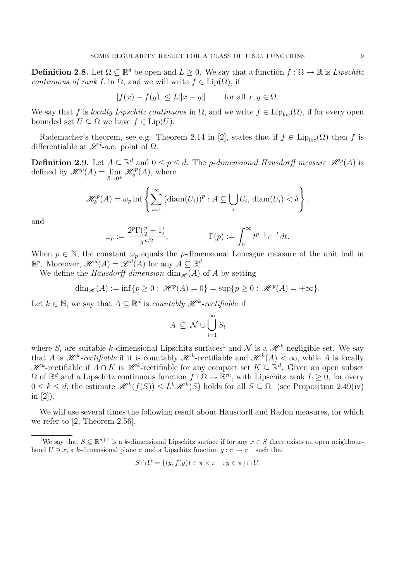**Definition 2.8.** Let  $\Omega \subseteq \mathbb{R}^d$  be open and  $L \geq 0$ . We say that a function  $f : \Omega \to \mathbb{R}$  is Lipschitz continuous of rank L in  $\Omega$ , and we will write  $f \in \text{Lip}(\Omega)$ , if

$$
|f(x) - f(y)| \le L \|x - y\| \quad \text{for all } x, y \in \Omega.
$$

We say that f is locally Lipschitz continuous in  $\Omega$ , and we write  $f \in \text{Lip}_{\text{loc}}(\Omega)$ , if for every open bounded set  $U \subseteq \Omega$  we have  $f \in \text{Lip}(U)$ .

Rademacher's theorem, see e.g. Theorem 2.14 in [2], states that if  $f \in Lip_{loc}(\Omega)$  then f is differentiable at  $\mathscr{L}^{d}$ -a.e. point of  $\Omega$ .

**Definition 2.9.** Let  $A \subseteq \mathbb{R}^d$  and  $0 \leq p \leq d$ . The *p*-dimensional Hausdorff measure  $\mathcal{H}^p(A)$  is defined by  $\mathscr{H}^p(A) = \lim_{\delta \to 0^+}$  $\mathcal{H}^p_{\delta}(A)$ , where

$$
\mathcal{H}_{\delta}^{p}(A) = \omega_{p} \inf \left\{ \sum_{i=1}^{\infty} \left( \operatorname{diam}(U_{i}) \right)^{p} : A \subseteq \bigcup_{i} U_{i}, \operatorname{diam}(U_{i}) < \delta \right\},\
$$

and

$$
\omega_p := \frac{2^p \Gamma(\frac{p}{2} + 1)}{\pi^{p/2}}, \qquad \Gamma(p) := \int_0^\infty t^{p-1} e^{-t} dt.
$$

When  $p \in \mathbb{N}$ , the constant  $\omega_p$  equals the p-dimensional Lebesgue measure of the unit ball in  $\mathbb{R}^p$ . Moreover,  $\mathscr{H}^d(A) = \mathscr{L}^d(A)$  for any  $A \subseteq \mathbb{R}^d$ .

We define the *Hausdorff dimension* dim<sub> $\mathcal{H}(A)$  of A by setting</sub>

$$
\dim_{\mathscr{H}}(A) := \inf \{ p \ge 0 : \, \mathscr{H}^p(A) = 0 \} = \sup \{ p \ge 0 : \, \mathscr{H}^p(A) = +\infty \}.
$$

Let  $k \in \mathbb{N}$ , we say that  $A \subseteq \mathbb{R}^d$  is *countably*  $\mathcal{H}^k$ *-rectifiable* if

$$
A \subseteq \mathcal{N} \cup \bigcup_{i=1}^{\infty} S_i
$$

where  $S_i$  are suitable k-dimensional Lipschitz surfaces<sup>1</sup> and N is a  $\mathcal{H}^k$ -negligible set. We say that A is  $\mathcal{H}^k$ -rectifiable if it is countably  $\mathcal{H}^k$ -rectifiable and  $\mathcal{H}^k(A) < \infty$ , while A is locally  $\mathscr{H}^k$ -rectifiable if  $A \cap K$  is  $\mathscr{H}^k$ -rectifiable for any compact set  $K \subseteq \mathbb{R}^d$ . Given an open subset  $\Omega$  of  $\mathbb{R}^d$  and a Lipschitz continuous function  $f : \Omega \to \mathbb{R}^m$ , with Lipschitz rank  $L \geq 0$ , for every  $0 \leq k \leq d$ , the estimate  $\mathcal{H}^k(f(S)) \leq L^k \mathcal{H}^k(S)$  holds for all  $S \subseteq \Omega$ . (see Proposition 2.49(iv) in [2]).

We will use several times the following result about Hausdorff and Radon measures, for which we refer to [2, Theorem 2.56].

$$
S \cap U = \{ (y, f(y)) \in \pi \times \pi^{\perp} : y \in \pi \} \cap U.
$$

<sup>&</sup>lt;sup>1</sup>We say that  $S \subseteq \mathbb{R}^{d+1}$  is a k-dimensional Lipschitz surface if for any  $x \in S$  there exists an open neighbourhood  $U \ni x$ , a k-dimensional plane  $\pi$  and a Lipschitz function  $g : \pi \to \pi^{\perp}$  such that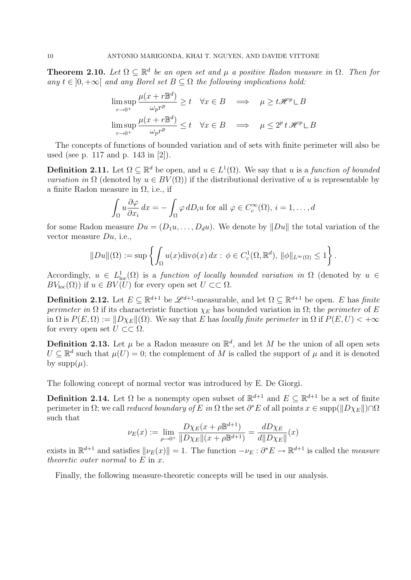**Theorem 2.10.** Let  $\Omega \subseteq \mathbb{R}^d$  be an open set and  $\mu$  a positive Radon measure in  $\Omega$ . Then for any  $t \in [0, +\infty[$  and any Borel set  $B \subset \Omega$  the following implications hold:

$$
\limsup_{r \to 0^+} \frac{\mu(x + r \mathbb{B}^d)}{\omega_p r^p} \ge t \quad \forall x \in B \quad \implies \quad \mu \ge t \mathcal{H}^p \sqcup B
$$
\n
$$
\limsup_{r \to 0^+} \frac{\mu(x + r \mathbb{B}^d)}{\omega_p r^p} \le t \quad \forall x \in B \quad \implies \quad \mu \le 2^p t \mathcal{H}^p \sqcup B
$$

The concepts of functions of bounded variation and of sets with finite perimeter will also be used (see p. 117 and p. 143 in [2]).

**Definition 2.11.** Let  $\Omega \subseteq \mathbb{R}^d$  be open, and  $u \in L^1(\Omega)$ . We say that u is a function of bounded *variation in*  $\Omega$  (denoted by  $u \in BV(\Omega)$ ) if the distributional derivative of u is representable by a finite Radon measure in  $\Omega$ , i.e., if

$$
\int_{\Omega} u \frac{\partial \varphi}{\partial x_i} dx = - \int_{\Omega} \varphi \, dD_i u \text{ for all } \varphi \in C_c^{\infty}(\Omega), i = 1, \dots, d
$$

for some Radon measure  $Du = (D_1u, \ldots, D_du)$ . We denote by  $||Du||$  the total variation of the vector measure  $Du$ , i.e.,

$$
||Du||(\Omega) := \sup \left\{ \int_{\Omega} u(x) \text{div} \phi(x) \, dx : \, \phi \in C_c^1(\Omega, \mathbb{R}^d), \, ||\phi||_{L^{\infty}(\Omega)} \le 1 \right\}.
$$

Accordingly,  $u \in L^1_{loc}(\Omega)$  is a function of locally bounded variation in  $\Omega$  (denoted by  $u \in$  $BV_{loc}(\Omega)$  if  $u \in BV(U)$  for every open set  $U \subset\subset \Omega$ .

**Definition 2.12.** Let  $E \subseteq \mathbb{R}^{d+1}$  be  $\mathscr{L}^{d+1}$ -measurable, and let  $\Omega \subseteq \mathbb{R}^{d+1}$  be open. E has finite perimeter in  $\Omega$  if its characteristic function  $\chi_E$  has bounded variation in  $\Omega$ ; the perimeter of E in  $\Omega$  is  $P(E, \Omega) := ||D\chi_E||(\Omega)$ . We say that E has locally finite perimeter in  $\Omega$  if  $P(E, U) < +\infty$ for every open set  $U \subset\subset \Omega$ .

**Definition 2.13.** Let  $\mu$  be a Radon measure on  $\mathbb{R}^d$ , and let M be the union of all open sets  $U \subseteq \mathbb{R}^d$  such that  $\mu(U) = 0$ ; the complement of M is called the support of  $\mu$  and it is denoted by supp $(\mu)$ .

The following concept of normal vector was introduced by E. De Giorgi.

**Definition 2.14.** Let  $\Omega$  be a nonempty open subset of  $\mathbb{R}^{d+1}$  and  $E \subseteq \mathbb{R}^{d+1}$  be a set of finite perimeter in  $\Omega$ ; we call *reduced boundary of E in*  $\Omega$  the set  $\partial^* E$  of all points  $x \in \text{supp}(\|D\chi_E\|)\cap \Omega$ such that

$$
\nu_E(x) := \lim_{\rho \to 0^+} \frac{D\chi_E(x + \rho \mathbb{B}^{d+1})}{\|D\chi_E\|(x + \rho \mathbb{B}^{d+1})} = \frac{dD\chi_E}{d\|D\chi_E\|}(x)
$$

exists in  $\mathbb{R}^{d+1}$  and satisfies  $\|\nu_E(x)\| = 1$ . The function  $-\nu_E : \partial^*E \to \mathbb{R}^{d+1}$  is called the *measure* theoretic outer normal to  $E$  in  $x$ .

Finally, the following measure-theoretic concepts will be used in our analysis.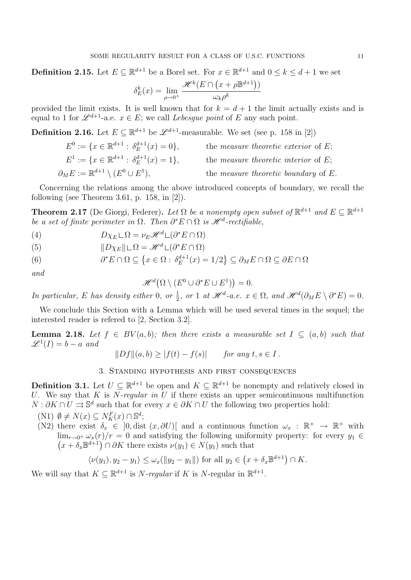**Definition 2.15.** Let  $E \subseteq \mathbb{R}^{d+1}$  be a Borel set. For  $x \in \mathbb{R}^{d+1}$  and  $0 \le k \le d+1$  we set

$$
\delta_E^k(x) = \lim_{\rho \to 0^+} \frac{\mathcal{H}^k(E \cap (x + \rho \mathbb{B}^{d+1}))}{\omega_k \rho^k}
$$

provided the limit exists. It is well known that for  $k = d + 1$  the limit actually exists and is equal to 1 for  $\mathscr{L}^{d+1}$ -a.e.  $x \in E$ ; we call *Lebesgue point* of E any such point.

**Definition 2.16.** Let  $E \subseteq \mathbb{R}^{d+1}$  be  $\mathcal{L}^{d+1}$ -measurable. We set (see p. 158 in [2])

| $E^0 := \{x \in \mathbb{R}^{d+1} : \delta_F^{d+1}(x) = 0\},\$ | the <i>measure theoretic exterior</i> of $E$ ; |
|---------------------------------------------------------------|------------------------------------------------|
| $E^1 := \{x \in \mathbb{R}^{d+1} : \delta_F^{d+1}(x) = 1\},\$ | the <i>measure theoretic interior</i> of $E$ ; |
| $\partial_M E := \mathbb{R}^{d+1} \setminus (E^0 \cup E^1),$  | the <i>measure theoretic boundary</i> of $E$ . |

Concerning the relations among the above introduced concepts of boundary, we recall the following (see Theorem 3.61, p. 158, in [2]).

**Theorem 2.17** (De Giorgi, Federer). Let  $\Omega$  be a nonempty open subset of  $\mathbb{R}^{d+1}$  and  $E \subseteq \mathbb{R}^{d+1}$ be a set of finite perimeter in  $\Omega$ . Then  $\partial^* E \cap \Omega$  is  $\mathcal{H}^d$ -rectifiable,

(4) 
$$
D\chi_E \mathcal{L} \Omega = \nu_E \mathcal{H}^d \mathcal{L}(\partial^* E \cap \Omega)
$$

(5) 
$$
||D\chi_E|| \sqcup \Omega = \mathcal{H}^d \sqcup (\partial^* E \cap \Omega)
$$

 $\partial^* E \cap \Omega \subseteq \left\{ x \in \Omega : \delta_E^{d+1} \right\}$ (6)  $\partial^* E \cap \Omega \subseteq \left\{ x \in \Omega : \delta_E^{d+1}(x) = 1/2 \right\} \subseteq \partial_M E \cap \Omega \subseteq \partial E \cap \Omega$ 

and

$$
\mathcal{H}^d(\Omega \setminus (E^0 \cup \partial^* E \cup E^1)) = 0.
$$

In particular, E has density either 0, or  $\frac{1}{2}$ , or 1 at  $\mathcal{H}^d$ -a.e.  $x \in \Omega$ , and  $\mathcal{H}^d(\partial_M E \setminus \partial^* E) = 0$ .

We conclude this Section with a Lemma which will be used several times in the sequel; the interested reader is refered to [2, Section 3.2].

**Lemma 2.18.** Let  $f \in BV(a, b)$ ; then there exists a measurable set  $I \subseteq (a, b)$  such that  $\mathscr{L}^1(I) = b - a$  and

$$
||Df||(a,b) \ge |f(t) - f(s)| \quad \text{for any } t, s \in I.
$$

### 3. Standing hypothesis and first consequences

**Definition 3.1.** Let  $U \subseteq \mathbb{R}^{d+1}$  be open and  $K \subseteq \mathbb{R}^{d+1}$  be nonempty and relatively closed in U. We say that K is N-regular in U if there exists an upper semicontinuous multifunction  $N: \partial K \cap U \rightrightarrows \mathbb{S}^d$  such that for every  $x \in \partial K \cap U$  the following two properties hold:

$$
(N1) \ \emptyset \neq N(x) \subseteq N_K^F(x) \cap \mathbb{S}^d;
$$

(N2) there exist  $\delta_x \in [0, \text{dist } (x, \partial U)]$  and a continuous function  $\omega_x : \mathbb{R}^+ \to \mathbb{R}^+$  with  $\lim_{r\to 0^+} \omega_x(r)/r = 0$  and satisfying the following uniformity property: for every  $y_1 \in$  $(x + \delta_x \mathbb{B}^{d+1}) \cap \partial K$  there exists  $\nu(y_1) \in N(y_1)$  such that

$$
\langle \nu(y_1), y_2 - y_1 \rangle \le \omega_x(||y_2 - y_1||) \text{ for all } y_2 \in \left( x + \delta_x \mathbb{B}^{d+1} \right) \cap K.
$$

We will say that  $K \subseteq \mathbb{R}^{d+1}$  is *N*-regular if K is *N*-regular in  $\mathbb{R}^{d+1}$ .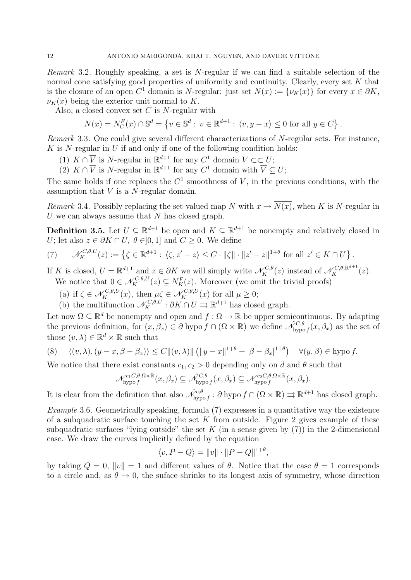*Remark* 3.2. Roughly speaking, a set is N-regular if we can find a suitable selection of the normal cone satisfying good properties of uniformity and continuity. Clearly, every set K that is the closure of an open  $C^1$  domain is N-regular: just set  $N(x) := \{ \nu_K(x) \}$  for every  $x \in \partial K$ ,  $\nu_K(x)$  being the exterior unit normal to K.

Also, a closed convex set  $C$  is  $N$ -regular with

$$
N(x) = N_C^F(x) \cap \mathbb{S}^d = \left\{ v \in \mathbb{S}^d : v \in \mathbb{R}^{d+1} : \langle v, y - x \rangle \le 0 \text{ for all } y \in C \right\}.
$$

Remark 3.3. One could give several different characterizations of N-regular sets. For instance,  $K$  is N-regular in  $U$  if and only if one of the following condition holds:

(1)  $K \cap \overline{V}$  is N-regular in  $\mathbb{R}^{d+1}$  for any  $C^1$  domain  $V \subset \subset U$ ;

(2)  $K \cap \overline{V}$  is N-regular in  $\mathbb{R}^{d+1}$  for any  $C^1$  domain with  $\overline{V} \subseteq U$ ;

The same holds if one replaces the  $C^1$  smoothness of V, in the previous conditions, with the assumption that  $V$  is a  $N$ -regular domain.

Remark 3.4. Possibly replacing the set-valued map N with  $x \mapsto \overline{N(x)}$ , when K is N-regular in U we can always assume that  $N$  has closed graph.

**Definition 3.5.** Let  $U \subseteq \mathbb{R}^{d+1}$  be open and  $K \subseteq \mathbb{R}^{d+1}$  be nonempty and relatively closed in U; let also  $z \in \partial K \cap U$ ,  $\theta \in ]0,1]$  and  $C \geq 0$ . We define

(7) 
$$
\mathcal{N}_K^{C,\theta,U}(z) := \left\{ \zeta \in \mathbb{R}^{d+1} : \langle \zeta, z'-z \rangle \leq C \cdot ||\zeta|| \cdot ||z'-z||^{1+\theta} \text{ for all } z' \in K \cap U \right\}.
$$

If K is closed,  $U = \mathbb{R}^{d+1}$  and  $z \in \partial K$  we will simply write  $\mathscr{N}_{K}^{C,\theta}(z)$  instead of  $\mathscr{N}_{K}^{C,\theta,\mathbb{R}^{d+1}}(z)$ . We notice that  $0 \in \mathcal{N}_K^{C,\theta,U}(z) \subseteq N_K^F(z)$ . Moreover (we omit the trivial proofs)

- (a) if  $\zeta \in \mathcal{N}_K^{C,\theta,U}(x)$ , then  $\mu \zeta \in \mathcal{N}_K^{C,\theta,U}(x)$  for all  $\mu \geq 0$ ;
- (b) the multifunction  $\mathcal{N}_K^{C,\theta,U} : \partial K \cap U \rightrightarrows \mathbb{R}^{d+1}$  has closed graph.

Let now  $\Omega \subseteq \mathbb{R}^d$  be nonempty and open and  $f : \Omega \to \mathbb{R}$  be upper semicontinuous. By adapting the previous definition, for  $(x, \beta_x) \in \partial$  hypo  $f \cap (\Omega \times \mathbb{R})$  we define  $\mathcal{N}_{\text{hypo}}^{C,\theta} f(x, \beta_x)$  as the set of those  $(v, \lambda) \in \mathbb{R}^d \times \mathbb{R}$  such that

(8) 
$$
\langle (v, \lambda), (y - x, \beta - \beta_x) \rangle \le C ||(v, \lambda)|| (||y - x||^{1+\theta} + |\beta - \beta_x|^{1+\theta}) \quad \forall (y, \beta) \in \text{hypo } f.
$$

We notice that there exist constants  $c_1, c_2 > 0$  depending only on d and  $\theta$  such that

$$
\mathcal{N}_{\mathrm{hypo}}^{c_1 C, \theta, \Omega \times \mathbb{R}}(x, \beta_x) \subseteq \hat{\mathcal{N}}_{\mathrm{hypo}}^{C, \theta}(x, \beta_x) \subseteq \mathcal{N}_{\mathrm{hypo}}^{c_2 C, \theta, \Omega \times \mathbb{R}}(x, \beta_x).
$$

It is clear from the definition that also  $\hat{\mathcal{N}}_{\text{hypo }f}^{c,\theta}$ :  $\partial \text{ hypo } f \cap (\Omega \times \mathbb{R}) \rightrightarrows \mathbb{R}^{d+1}$  has closed graph.

Example 3.6. Geometrically speaking, formula (7) expresses in a quantitative way the existence of a subquadratic surface touching the set K from outside. Figure 2 gives example of these subquadratic surfaces "lying outside" the set K (in a sense given by  $(7)$ ) in the 2-dimensional case. We draw the curves implicitly defined by the equation

$$
\langle v, P - Q \rangle = ||v|| \cdot ||P - Q||^{1+\theta},
$$

by taking  $Q = 0$ ,  $||v|| = 1$  and different values of  $\theta$ . Notice that the case  $\theta = 1$  corresponds to a circle and, as  $\theta \to 0$ , the suface shrinks to its longest axis of symmetry, whose direction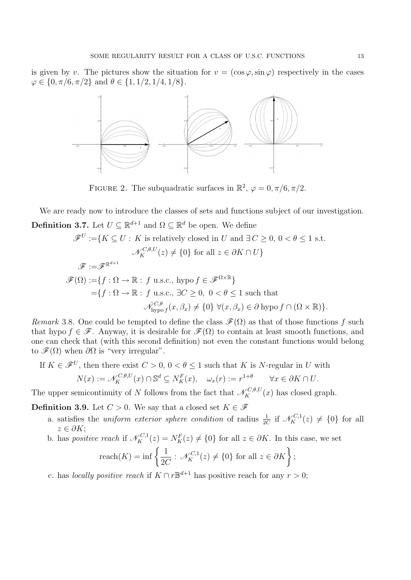is given by v. The pictures show the situation for  $v = (\cos \varphi, \sin \varphi)$  respectively in the cases  $\varphi \in \{0, \pi/6, \pi/2\}$  and  $\theta \in \{1, 1/2, 1/4, 1/8\}.$ 



FIGURE 2. The subquadratic surfaces in  $\mathbb{R}^2$ ,  $\varphi = 0, \pi/6, \pi/2$ .

We are ready now to introduce the classes of sets and functions subject of our investigation. **Definition 3.7.** Let  $U \subseteq \mathbb{R}^{d+1}$  and  $\Omega \subseteq \mathbb{R}^d$  be open. We define

$$
\mathscr{F}^U := \{ K \subseteq U : K \text{ is relatively closed in } U \text{ and } \exists C \ge 0, 0 < \theta \le 1 \text{ s.t.}
$$
  

$$
\mathscr{N}_K^{C,\theta,U}(z) \ne \{0\} \text{ for all } z \in \partial K \cap U \}
$$
  

$$
\mathscr{F} := \mathscr{F}^{\mathbb{R}^{d+1}}
$$
  

$$
\mathscr{F}(\Omega) := \{ f : \Omega \to \mathbb{R} : f \text{ u.s.c., } \text{hypo } f \in \mathscr{F}^{\Omega \times \mathbb{R}} \}
$$
  

$$
= \{ f : \Omega \to \mathbb{R} : f \text{ u.s.c., } \exists C \ge 0, 0 < \theta \le 1 \text{ such that}
$$
  

$$
\mathscr{N}_{\text{hypo}}^{C,\theta}(x,\beta_x) \ne \{0\} \ \forall (x,\beta_x) \in \partial \text{ hypo } f \cap (\Omega \times \mathbb{R}) \}.
$$

Remark 3.8. One could be tempted to define the class  $\mathscr{F}(\Omega)$  as that of those functions f such that hypo  $f \in \mathscr{F}$ . Anyway, it is desirable for  $\mathscr{F}(\Omega)$  to contain at least smooth functions, and one can check that (with this second definition) not even the constant functions would belong to  $\mathscr{F}(\Omega)$  when  $\partial\Omega$  is "very irregular".

If 
$$
K \in \mathscr{F}^U
$$
, then there exist  $C > 0$ ,  $0 < \theta \le 1$  such that K is N-regular in U with  
\n
$$
N(x) := \mathscr{N}_K^{C,\theta,U}(x) \cap \mathbb{S}^d \subseteq N_K^F(x), \quad \omega_x(r) := r^{1+\theta} \qquad \forall x \in \partial K \cap U.
$$

The upper semicontinuity of N follows from the fact that  $\mathcal{N}_K^{C,\theta,U}(x)$  has closed graph.

**Definition 3.9.** Let  $C > 0$ . We say that a closed set  $K \in \mathcal{F}$ 

- a. satisfies the *uniform exterior sphere condition* of radius  $\frac{1}{2C}$  if  $\mathcal{N}_{K}^{C,1}(z) \neq \{0\}$  for all  $z \in \partial K$ :
- b. has *positive reach* if  $\mathcal{N}_K^{C,1}(z) = N_K^F(z) \neq \{0\}$  for all  $z \in \partial K$ . In this case, we set

$$
\text{reach}(K) = \inf \left\{ \frac{1}{2C} : \mathcal{N}_K^{C,1}(z) \neq \{0\} \text{ for all } z \in \partial K \right\};
$$

c. has *locally positive reach* if  $K \cap r \mathbb{B}^{d+1}$  has positive reach for any  $r > 0$ ;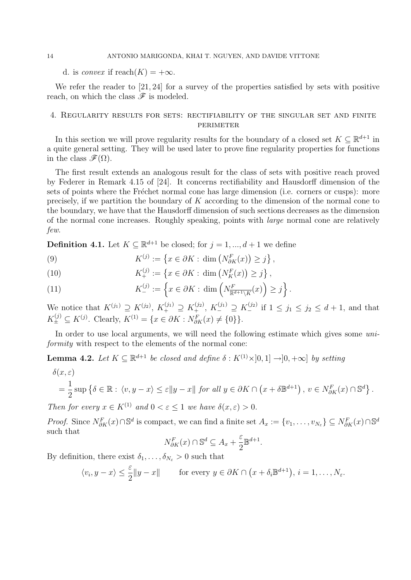#### 14 ANTONIO MARIGONDA, KHAI T. NGUYEN, AND DAVIDE VITTONE

d. is *convex* if reach $(K) = +\infty$ .

We refer the reader to [21, 24] for a survey of the properties satisfied by sets with positive reach, on which the class  $\mathscr F$  is modeled.

### 4. Regularity results for sets: rectifiability of the singular set and finite perimeter

In this section we will prove regularity results for the boundary of a closed set  $K \subseteq \mathbb{R}^{d+1}$  in a quite general setting. They will be used later to prove fine regularity properties for functions in the class  $\mathscr{F}(\Omega)$ .

The first result extends an analogous result for the class of sets with positive reach proved by Federer in Remark 4.15 of [24]. It concerns rectifiability and Hausdorff dimension of the sets of points where the Fréchet normal cone has large dimension (i.e. corners or cusps): more precisely, if we partition the boundary of K according to the dimension of the normal cone to the boundary, we have that the Hausdorff dimension of such sections decreases as the dimension of the normal cone increases. Roughly speaking, points with large normal cone are relatively few.

**Definition 4.1.** Let  $K \subseteq \mathbb{R}^{d+1}$  be closed; for  $j = 1, ..., d+1$  we define

(9) 
$$
K^{(j)} := \left\{ x \in \partial K : \dim \left( N_{\partial K}^F(x) \right) \geq j \right\},
$$

(10) 
$$
K_{+}^{(j)} := \{ x \in \partial K : \dim (N_{K}^{F}(x)) \geq j \},
$$

(11) 
$$
K_{-}^{(j)} := \left\{ x \in \partial K : \dim \left( N_{\mathbb{R}^{d+1} \setminus K}^{F}(x) \right) \geq j \right\}.
$$

We notice that  $K^{(j_1)} \supseteq K^{(j_2)}$ ,  $K^{(j_1)} \supseteq K^{(j_2)}$ ,  $K^{(j_1)} \supseteq K^{(j_2)}$  if  $1 \leq j_1 \leq j_2 \leq d+1$ , and that  $K_{\pm}^{(j)} \subseteq K^{(j)}$ . Clearly,  $K^{(1)} = \{x \in \partial K : N_{\partial K}^{F}(x) \neq \{0\}\}.$ 

In order to use local arguments, we will need the following estimate which gives some uniformity with respect to the elements of the normal cone:

**Lemma 4.2.** Let  $K \subseteq \mathbb{R}^{d+1}$  be closed and define  $\delta : K^{(1)} \times ]0,1] \rightarrow ]0,+\infty]$  by setting

$$
\delta(x,\varepsilon)
$$
  
=  $\frac{1}{2}$  sup  $\{\delta \in \mathbb{R} : \langle v, y - x \rangle \le \varepsilon ||y - x||$  for all  $y \in \partial K \cap (x + \delta \mathbb{B}^{d+1}), v \in N_{\partial K}^F(x) \cap \mathbb{S}^d\}.$ 

Then for every  $x \in K^{(1)}$  and  $0 < \varepsilon < 1$  we have  $\delta(x, \varepsilon) > 0$ .

*Proof.* Since  $N_{\partial K}^F(x) \cap \mathbb{S}^d$  is compact, we can find a finite set  $A_x := \{v_1, \ldots, v_{N_{\varepsilon}}\} \subseteq N_{\partial K}^F(x) \cap \mathbb{S}^d$ such that

$$
N_{\partial K}^F(x) \cap \mathbb{S}^d \subseteq A_x + \frac{\varepsilon}{2} \mathbb{B}^{d+1}.
$$

By definition, there exist  $\delta_1, \ldots, \delta_{N_s} > 0$  such that

$$
\langle v_i, y - x \rangle \le \frac{\varepsilon}{2} \|y - x\|
$$
 for every  $y \in \partial K \cap (x + \delta_i \mathbb{B}^{d+1}), i = 1, ..., N_{\varepsilon}.$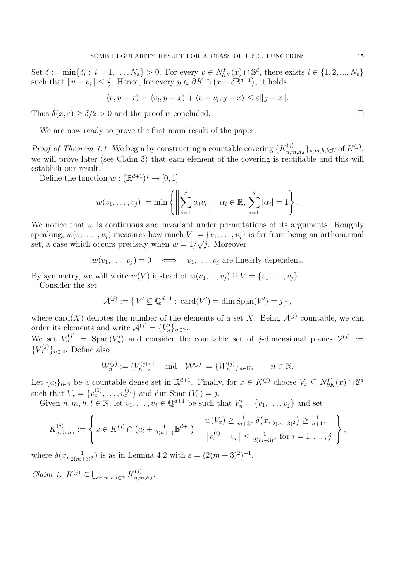Set  $\delta := \min\{\delta_i : i = 1, \ldots, N_{\varepsilon}\} > 0$ . For every  $v \in N_{\partial K}^F(x) \cap \mathbb{S}^d$ , there exists  $i \in \{1, 2, \ldots, N_{\varepsilon}\}$ such that  $||v - v_i|| \leq \frac{\varepsilon}{2}$ . Hence, for every  $y \in \partial K \cap (x + \delta \mathbb{B}^{d+1})$ , it holds

$$
\langle v, y - x \rangle = \langle v_i, y - x \rangle + \langle v - v_i, y - x \rangle \le \varepsilon \|y - x\|.
$$

Thus  $\delta(x,\varepsilon) > \delta/2 > 0$  and the proof is concluded.

We are now ready to prove the first main result of the paper.

*Proof of Theorem 1.1.* We begin by constructing a countable covering  $\{K_{n,m,h,l}^{(j)}\}_{n,m,h,l\in\mathbb{N}}$  of  $K^{(j)}$ ; we will prove later (see Claim 3) that each element of the covering is rectifiable and this will establish our result.

Define the function  $w : (\mathbb{R}^{d+1})^j \to [0,1]$ 

$$
w(v_1,...,v_j) := \min \left\{ \left\| \sum_{i=1}^j \alpha_i v_i \right\| : \alpha_i \in \mathbb{R}, \sum_{i=1}^j |\alpha_i| = 1 \right\}.
$$

We notice that  $w$  is continuous and invariant under permutations of its arguments. Roughly speaking,  $w(v_1, \ldots, v_j)$  measures how much  $V := \{v_1, \ldots, v_j\}$  is far from being an orthonormal set, a case which occurs precisely when  $w = 1/\sqrt{j}$ . Moreover

 $w(v_1, \ldots, v_i) = 0 \iff v_1, \ldots, v_i$  are linearly dependent.

By symmetry, we will write  $w(V)$  instead of  $w(v_1, ..., v_j)$  if  $V = \{v_1, ..., v_j\}$ .

Consider the set

$$
\mathcal{A}^{(j)} := \left\{ V' \subseteq \mathbb{Q}^{d+1} : \, \text{card}(V') = \dim \text{Span}(V') = j \right\},\
$$

where card(X) denotes the number of the elements of a set X. Being  $\mathcal{A}^{(j)}$  countable, we can order its elements and write  $\mathcal{A}^{(j)} = \{V_n'\}_{n \in \mathbb{N}}$ .

We set  $V_n^{(j)} = \text{Span}(V_n')$  and consider the countable set of j-dimensional planes  $V^{(j)} :=$  ${V_n^{(j)}}_{n \in \mathbb{N}}$ . Define also

$$
W_n^{(j)} := (V_n^{(j)})^\perp \quad \text{and} \quad \mathcal{W}^{(j)} := \{W_n^{(j)}\}_{n \in \mathbb{N}}, \qquad n \in \mathbb{N}.
$$

Let  $\{a_l\}_{l\in\mathbb{N}}$  be a countable dense set in  $\mathbb{R}^{d+1}$ . Finally, for  $x \in K^{(j)}$  choose  $V_x \subseteq N_{\partial K}^F(x) \cap \mathbb{S}^d$ such that  $V_x = \{v_x^{(1)}, \ldots, v_x^{(j)}\}$  and dim  $\text{Span}(V_x) = j$ .

Given  $n, m, h, l \in \mathbb{N}$ , let  $v_1, \ldots, v_j \in \mathbb{Q}^{d+1}$  be such that  $V'_n = \{v_1, \ldots, v_j\}$  and set

$$
K_{n,m,h,l}^{(j)} := \left\{ x \in K^{(j)} \cap \left( a_l + \frac{1}{2(h+1)} \mathbb{B}^{d+1} \right) : \begin{array}{l} w(V_x) \geq \frac{1}{m+3}, \ \delta\left( x, \frac{1}{2(m+3)^2} \right) \geq \frac{1}{h+1}, \\ \|v_x^{(i)} - v_i\| \leq \frac{1}{2(m+3)^2} \text{ for } i = 1, \dots, j \end{array} \right\},
$$

where  $\delta(x, \frac{1}{2(m+3)^2})$  is as in Lemma 4.2 with  $\varepsilon = (2(m+3)^2)^{-1}$ .

*Claim 1:*  $K^{(j)} \subseteq \bigcup_{n,m,h,l \in \mathbb{N}} K_{n,m,h,l}^{(j)}$ .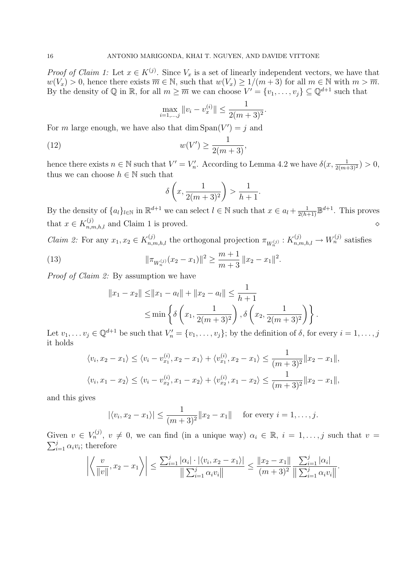*Proof of Claim 1:* Let  $x \in K^{(j)}$ . Since  $V_x$  is a set of linearly independent vectors, we have that  $w(V_x) > 0$ , hence there exists  $\overline{m} \in \mathbb{N}$ , such that  $w(V_x) \ge 1/(m+3)$  for all  $m \in \mathbb{N}$  with  $m > \overline{m}$ . By the density of  $\mathbb Q$  in  $\mathbb R$ , for all  $m \ge \overline{m}$  we can choose  $V' = \{v_1, \ldots, v_j\} \subseteq \mathbb Q^{d+1}$  such that

$$
\max_{i=1,\dots,j} ||v_i - v_x^{(i)}|| \le \frac{1}{2(m+3)^2}.
$$

For m large enough, we have also that  $\dim \mathrm{Span}(V') = j$  and

(12) 
$$
w(V') \ge \frac{1}{2(m+3)},
$$

hence there exists  $n \in \mathbb{N}$  such that  $V' = V'_n$ . According to Lemma 4.2 we have  $\delta(x, \frac{1}{2(m+3)^2}) > 0$ , thus we can choose  $h \in \mathbb{N}$  such that

$$
\delta\left(x, \frac{1}{2(m+3)^2}\right) > \frac{1}{h+1}.
$$

By the density of  $\{a_l\}_{l\in\mathbb{N}}$  in  $\mathbb{R}^{d+1}$  we can select  $l \in \mathbb{N}$  such that  $x \in a_l + \frac{1}{2(h+1)} \mathbb{B}^{d+1}$ . This proves that x ∈ K (j) n,m,h,l and Claim 1 is proved. ⋄

*Claim 2:* For any  $x_1, x_2 \in K_{n,m,h,l}^{(j)}$  the orthogonal projection  $\pi_{W_n^{(j)}}: K_{n,m,h,l}^{(j)} \to W_n^{(j)}$  satisfies

(13) 
$$
\|\pi_{W_n^{(j)}}(x_2 - x_1)\|^2 \ge \frac{m+1}{m+3} \|x_2 - x_1\|^2.
$$

Proof of Claim 2: By assumption we have

$$
||x_1 - x_2|| \le ||x_1 - a_l|| + ||x_2 - a_l|| \le \frac{1}{h+1}
$$
  

$$
\le \min \left\{ \delta \left( x_1, \frac{1}{2(m+3)^2} \right), \delta \left( x_2, \frac{1}{2(m+3)^2} \right) \right\}.
$$

Let  $v_1, \ldots v_j \in \mathbb{Q}^{d+1}$  be such that  $V'_n = \{v_1, \ldots, v_j\}$ ; by the definition of  $\delta$ , for every  $i = 1, \ldots, j$ it holds

$$
\langle v_i, x_2 - x_1 \rangle \le \langle v_i - v_{x_1}^{(i)}, x_2 - x_1 \rangle + \langle v_{x_1}^{(i)}, x_2 - x_1 \rangle \le \frac{1}{(m+3)^2} ||x_2 - x_1||,
$$
  

$$
\langle v_i, x_1 - x_2 \rangle \le \langle v_i - v_{x_2}^{(i)}, x_1 - x_2 \rangle + \langle v_{x_2}^{(i)}, x_1 - x_2 \rangle \le \frac{1}{(m+3)^2} ||x_2 - x_1||,
$$

and this gives

$$
|\langle v_i, x_2 - x_1 \rangle| \le \frac{1}{(m+3)^2} ||x_2 - x_1||
$$
 for every  $i = 1, ..., j$ .

Given  $v \in V_n^{(j)}$ ,  $v \neq 0$ , we can find (in a unique way)  $\alpha_i \in \mathbb{R}$ ,  $i = 1, \ldots, j$  such that  $v = \sum_{i=1}^j \alpha_i v_i$ ; therefore  $i=1 \alpha_i v_i$ ; therefore

$$
\left| \left\langle \frac{v}{\|v\|}, x_2 - x_1 \right\rangle \right| \le \frac{\sum_{i=1}^j |\alpha_i| \cdot |\langle v_i, x_2 - x_1 \rangle|}{\left\| \sum_{i=1}^j \alpha_i v_i \right\|} \le \frac{\|x_2 - x_1\|}{(m+3)^2} \frac{\sum_{i=1}^j |\alpha_i|}{\left\| \sum_{i=1}^j \alpha_i v_i \right\|}.
$$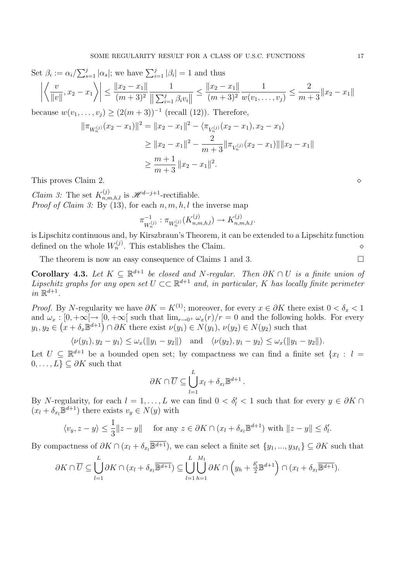Set 
$$
\beta_i := \alpha_i / \sum_{s=1}^j |\alpha_s|
$$
; we have  $\sum_{i=1}^j |\beta_i| = 1$  and thus  
\n
$$
\left| \left\langle \frac{v}{\|v\|}, x_2 - x_1 \right\rangle \right| \le \frac{\|x_2 - x_1\|}{(m+3)^2} \frac{1}{\|\sum_{i=1}^j \beta_i v_i\|} \le \frac{\|x_2 - x_1\|}{(m+3)^2} \frac{1}{w(v_1, \dots, v_j)} \le \frac{2}{m+3} \|x_2 - x_1\|
$$
\nbecause  $w(v_1, \dots, v_j) \ge (2(m+3))^{-1}$  (recall (12)). Therefore,

$$
\|\pi_{W_n^{(j)}}(x_2 - x_1)\|^2 = \|x_2 - x_1\|^2 - \langle \pi_{V_n^{(j)}}(x_2 - x_1), x_2 - x_1 \rangle
$$
  
\n
$$
\geq \|x_2 - x_1\|^2 - \frac{2}{m+3} \|\pi_{V_n^{(j)}}(x_2 - x_1)\| \|x_2 - x_1\|
$$
  
\n
$$
\geq \frac{m+1}{m+3} \|x_2 - x_1\|^2.
$$

This proves Claim 2.  $\Diamond$ 

*Claim 3:* The set  $K_{n,m,h,l}^{(j)}$  is  $\mathscr{H}^{d-j+1}$ -rectifiable. *Proof of Claim 3:* By (13), for each  $n, m, h, l$  the inverse map

$$
\pi_{W_n^{(j)}}^{-1} : \pi_{W_n^{(j)}}(K_{n,m,h,l}^{(j)}) \to K_{n,m,h,l}^{(j)}.
$$

is Lipschitz continuous and, by Kirszbraun's Theorem, it can be extended to a Lipschitz function defined on the whole W (j) <sup>n</sup> . This establishes the Claim. ⋄

The theorem is now an easy consequence of Claims 1 and 3.

Corollary 4.3. Let  $K \subseteq \mathbb{R}^{d+1}$  be closed and N-regular. Then  $\partial K \cap U$  is a finite union of Lipschitz graphs for any open set  $U \subset \mathbb{R}^{d+1}$  and, in particular, K has locally finite perimeter in  $\mathbb{R}^{d+1}$ .

*Proof.* By N-regularity we have  $\partial K = K^{(1)}$ ; moreover, for every  $x \in \partial K$  there exist  $0 < \delta_x < 1$ and  $\omega_x : [0, +\infty] \to [0, +\infty]$  such that  $\lim_{r\to 0^+} \omega_x(r)/r = 0$  and the following holds. For every  $y_1, y_2 \in (x + \delta_x \mathbb{B}^{d+1}) \cap \partial K$  there exist  $\nu(y_1) \in N(y_1), \nu(y_2) \in N(y_2)$  such that

 $\langle \nu(y_1), y_2 - y_1 \rangle \leq \omega_x(||y_1 - y_2||)$  and  $\langle \nu(y_2), y_1 - y_2 \rangle \leq \omega_x(||y_1 - y_2||).$ 

Let  $U \subseteq \mathbb{R}^{d+1}$  be a bounded open set; by compactness we can find a finite set  $\{x_l : l =$  $0, \ldots, L$ }  $\subseteq \partial K$  such that

$$
\partial K \cap \overline{U} \subseteq \bigcup_{l=1}^{L} x_{l} + \delta_{x_{l}} \mathbb{B}^{d+1}.
$$

By N-regularity, for each  $l = 1, ..., L$  we can find  $0 < \delta' < 1$  such that for every  $y \in \partial K \cap$  $(x_l + \delta_{x_l} \mathbb{B}^{d+1})$  there exists  $v_y \in N(y)$  with

$$
\langle v_y, z - y \rangle \le \frac{1}{3} \|z - y\|
$$
 for any  $z \in \partial K \cap (x_l + \delta_{x_l} \mathbb{B}^{d+1})$  with  $\|z - y\| \le \delta'_l$ .

By compactness of  $\partial K \cap (x_l + \delta_{x_l} \overline{\mathbb{B}^{d+1}})$ , we can select a finite set  $\{y_1, ..., y_{M_1}\} \subseteq \partial K$  such that

$$
\partial K \cap \overline{U} \subseteq \bigcup_{l=1}^{L} \partial K \cap (x_l + \delta_{x_l} \overline{\mathbb{B}^{d+1}}) \subseteq \bigcup_{l=1}^{L} \bigcup_{h=1}^{M_1} \partial K \cap (y_h + \frac{\delta'_l}{2} \mathbb{B}^{d+1}) \cap (x_l + \delta_{x_l} \overline{\mathbb{B}^{d+1}}).
$$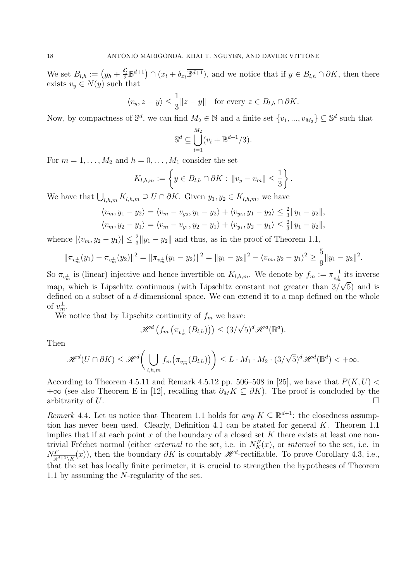We set  $B_{l,h} := (y_h + \frac{\delta_l'}{2} \mathbb{B}^{d+1}) \cap (x_l + \delta_{x_l} \overline{\mathbb{B}^{d+1}})$ , and we notice that if  $y \in B_{l,h} \cap \partial K$ , then there exists  $v_y \in N(y)$  such that

$$
\langle v_y, z - y \rangle \le \frac{1}{3} ||z - y||
$$
 for every  $z \in B_{l,h} \cap \partial K$ .

Now, by compactness of  $\mathbb{S}^d$ , we can find  $M_2 \in \mathbb{N}$  and a finite set  $\{v_1, ..., v_{M_2}\} \subseteq \mathbb{S}^d$  such that

$$
\mathbb{S}^d \subseteq \bigcup_{i=1}^{M_2} (v_i + \mathbb{B}^{d+1}/3).
$$

For  $m = 1, \ldots, M_2$  and  $h = 0, \ldots, M_1$  consider the set

$$
K_{l,h,m} := \left\{ y \in B_{l,h} \cap \partial K : ||v_y - v_m|| \leq \frac{1}{3} \right\}.
$$

We have that  $\bigcup_{l,h,m} K_{l,h,m} \supseteq U \cap \partial K$ . Given  $y_1, y_2 \in K_{l,h,m}$ , we have

$$
\langle v_m, y_1 - y_2 \rangle = \langle v_m - v_{y_2}, y_1 - y_2 \rangle + \langle v_{y_2}, y_1 - y_2 \rangle \le \frac{2}{3} ||y_1 - y_2||,
$$
  

$$
\langle v_m, y_2 - y_1 \rangle = \langle v_m - v_{y_1}, y_2 - y_1 \rangle + \langle v_{y_1}, y_2 - y_1 \rangle \le \frac{2}{3} ||y_1 - y_2||,
$$

whence  $|\langle v_m, y_2 - y_1 \rangle| \leq \frac{2}{3} ||y_1 - y_2||$  and thus, as in the proof of Theorem 1.1,

$$
\|\pi_{v_m^{\perp}}(y_1) - \pi_{v_m^{\perp}}(y_2)\|^2 = \|\pi_{v_m^{\perp}}(y_1 - y_2)\|^2 = \|y_1 - y_2\|^2 - \langle v_m, y_2 - y_1 \rangle^2 \ge \frac{5}{9} \|y_1 - y_2\|^2.
$$

So  $\pi_{v_m^{\perp}}$  is (linear) injective and hence invertible on  $K_{l,h,m}$ . We denote by  $f_m := \pi_{v_m^{\perp}}^{-1}$  its inverse map, which is Lipschitz continuous (with Lipschitz constant not greater than  $3/\sqrt{5}$ ) and is defined on a subset of a d-dimensional space. We can extend it to a map defined on the whole of  $v_m^{\perp}$ .

We notice that by Lipschitz continuity of  $f_m$  we have:

$$
\mathscr{H}^d\left(f_m\left(\pi_{v_m^\perp}\left(B_{l,h}\right)\right)\right) \leq (3/\sqrt{5})^d \mathscr{H}^d(\mathbb{B}^d).
$$

Then

$$
\mathscr{H}^{d}(U \cap \partial K) \leq \mathscr{H}^{d}\bigg(\bigcup_{l,h,m} f_m\big(\pi_{v_m^{\perp}}(B_{l,h})\big)\bigg) \leq L \cdot M_1 \cdot M_2 \cdot (3/\sqrt{5})^d \mathscr{H}^{d}(\mathbb{B}^d) < +\infty.
$$

According to Theorem 4.5.11 and Remark 4.5.12 pp. 506–508 in [25], we have that  $P(K, U)$ +∞ (see also Theorem E in [12], recalling that  $\partial_M K \subseteq \partial K$ ). The proof is concluded by the arbitrarity of U. arbitrarity of U.

Remark 4.4. Let us notice that Theorem 1.1 holds for any  $K \subseteq \mathbb{R}^{d+1}$ : the closedness assumption has never been used. Clearly, Definition 4.1 can be stated for general  $K$ . Theorem 1.1 implies that if at each point  $x$  of the boundary of a closed set  $K$  there exists at least one nontrivial Fréchet normal (either *external* to the set, i.e. in  $N_K^F(x)$ , or *internal* to the set, i.e. in  $N_{\overline{\mathbb{R}^{d+1}\setminus K}}^F(x)$ , then the boundary  $\partial K$  is countably  $\mathscr{H}^d$ -rectifiable. To prove Corollary 4.3, i.e., that the set has locally finite perimeter, it is crucial to strengthen the hypotheses of Theorem 1.1 by assuming the N-regularity of the set.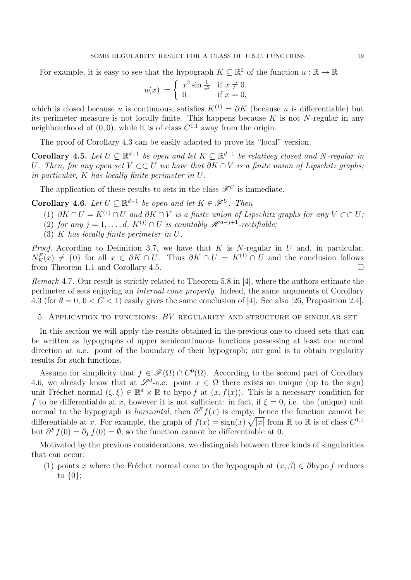For example, it is easy to see that the hypograph  $K \subseteq \mathbb{R}^2$  of the function  $u : \mathbb{R} \to \mathbb{R}$ 

$$
u(x) := \begin{cases} x^2 \sin \frac{1}{x^2} & \text{if } x \neq 0, \\ 0 & \text{if } x = 0, \end{cases}
$$

which is closed because u is continuous, satisfies  $K^{(1)} = \partial K$  (because u is differentiable) but its perimeter measure is not locally finite. This happens because  $K$  is not N-regular in any neighbourhood of  $(0,0)$ , while it is of class  $C^{1,1}$  away from the origin.

The proof of Corollary 4.3 can be easily adapted to prove its "local" version.

**Corollary 4.5.** Let  $U \subseteq \mathbb{R}^{d+1}$  be open and let  $K \subseteq \mathbb{R}^{d+1}$  be relativey closed and N-regular in U. Then, for any open set  $V \subset \subset U$  we have that  $\partial K \cap V$  is a finite union of Lipschitz graphs; in particular, K has locally finite perimeter in U.

The application of these results to sets in the class  $\mathscr{F}^U$  is immediate.

**Corollary 4.6.** Let  $U \subseteq \mathbb{R}^{d+1}$  be open and let  $K \in \mathcal{F}^U$ . Then

- (1) ∂K ∩  $U = K^{(1)} \cap U$  and ∂K ∩ V is a finite union of Lipschitz graphs for any  $V \subset\subset U$ ;
- (2) for any  $j = 1, \ldots, d$ ,  $K^{(j)} \cap U$  is countably  $\mathscr{H}^{d-j+1}$ -rectifiable;
- (3) K has locally finite perimeter in U.

*Proof.* According to Definition 3.7, we have that K is N-regular in U and, in particular,  $N_K^F(x) \neq \{0\}$  for all  $x \in \partial K \cap U$ . Thus  $\partial K \cap U = K^{(1)} \cap U$  and the conclusion follows from Theorem 1.1 and Corollary 4.5.

Remark 4.7. Our result is strictly related to Theorem 5.8 in [4], where the authors estimate the perimeter of sets enjoying an internal cone property. Indeed, the same arguments of Corollary 4.3 (for  $\theta = 0$ ,  $0 < C < 1$ ) easily gives the same conclusion of [4]. See also [26, Proposition 2.4].

5. APPLICATION TO FUNCTIONS:  $BV$  regularity and structure of singular set

In this section we will apply the results obtained in the previous one to closed sets that can be written as hypographs of upper semicontinuous functions possessing at least one normal direction at a.e. point of the boundary of their hypograph; our goal is to obtain regularity results for such functions.

Assume for simplicity that  $f \in \mathscr{F}(\Omega) \cap C^{0}(\Omega)$ . According to the second part of Corollary 4.6, we already know that at  $\mathscr{L}^d$ -a.e. point  $x \in \Omega$  there exists an unique (up to the sign) unit Fréchet normal  $(\zeta, \xi) \in \mathbb{R}^d \times \mathbb{R}$  to hypo f at  $(x, f(x))$ . This is a necessary condition for f to be differentiable at x, however it is not sufficient: in fact, if  $\xi = 0$ , i.e. the (unique) unit normal to the hypograph is *horizontal*, then  $\partial^F f(x)$  is empty, hence the function cannot be differentiable at x. For example, the graph of  $f(x) = \text{sign}(x) \sqrt{|x|}$  from R to R is of class  $C^{1,1}$ but  $\partial^F f(0) = \partial_F f(0) = \emptyset$ , so the function cannot be differentiable at 0.

Motivated by the previous considerations, we distinguish between three kinds of singularities that can occur:

(1) points x where the Fréchet normal cone to the hypograph at  $(x, \beta) \in \partial \text{hypo } f$  reduces to  $\{0\};$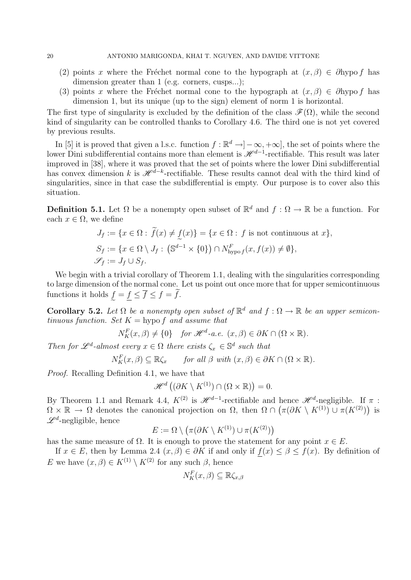- (2) points x where the Fréchet normal cone to the hypograph at  $(x, \beta) \in \partial \text{hypo } f$  has dimension greater than 1 (e.g. corners, cusps...);
- (3) points x where the Fréchet normal cone to the hypograph at  $(x, \beta) \in \partial \text{hypo } f$  has dimension 1, but its unique (up to the sign) element of norm 1 is horizontal.

The first type of singularity is excluded by the definition of the class  $\mathscr{F}(\Omega)$ , while the second kind of singularity can be controlled thanks to Corollary 4.6. The third one is not yet covered by previous results.

In [5] it is proved that given a l.s.c. function  $f : \mathbb{R}^d \to ]-\infty, +\infty]$ , the set of points where the lower Dini subdifferential contains more than element is  $\mathscr{H}^{d-1}$ -rectifiable. This result was later improved in [38], where it was proved that the set of points where the lower Dini subdifferential has convex dimension k is  $\mathscr{H}^{\bar{d}-k}$ -rectifiable. These results cannot deal with the third kind of singularities, since in that case the subdifferential is empty. Our purpose is to cover also this situation.

**Definition 5.1.** Let  $\Omega$  be a nonempty open subset of  $\mathbb{R}^d$  and  $f : \Omega \to \mathbb{R}$  be a function. For each  $x \in \Omega$ , we define

$$
J_f := \{ x \in \Omega : \tilde{f}(x) \neq \underline{f}(x) \} = \{ x \in \Omega : f \text{ is not continuous at } x \},
$$
  
\n
$$
S_f := \{ x \in \Omega \setminus J_f : (\mathbb{S}^{d-1} \times \{0\}) \cap N^F_{\text{hypo } f}(x, f(x)) \neq \emptyset \},
$$
  
\n
$$
\mathscr{S}_f := J_f \cup S_f.
$$

We begin with a trivial corollary of Theorem 1.1, dealing with the singularities corresponding to large dimension of the normal cone. Let us point out once more that for upper semicontinuous functions it holds  $\underline{f} = \underline{f} \le f \le f = f$ .

Corollary 5.2. Let  $\Omega$  be a nonempty open subset of  $\mathbb{R}^d$  and  $f : \Omega \to \mathbb{R}$  be an upper semicontinuous function. Set  $K =$  hypo f and assume that

$$
N_K^F(x,\beta) \neq \{0\}
$$
 for  $\mathcal{H}^d$ -a.e.  $(x,\beta) \in \partial K \cap (\Omega \times \mathbb{R})$ .

Then for  $\mathscr{L}^d$ -almost every  $x \in \Omega$  there exists  $\zeta_x \in \mathbb{S}^d$  such that

 $N_K^F(x,\beta) \subseteq \mathbb{R}\zeta_x$  for all  $\beta$  with  $(x,\beta) \in \partial K \cap (\Omega \times \mathbb{R})$ .

Proof. Recalling Definition 4.1, we have that

$$
\mathscr{H}^d\left((\partial K\setminus K^{(1)})\cap(\Omega\times\mathbb{R})\right)=0.
$$

By Theorem 1.1 and Remark 4.4,  $K^{(2)}$  is  $\mathscr{H}^{d-1}$ -rectifiable and hence  $\mathscr{H}^d$ -negligible. If  $\pi$ :  $\Omega \times \mathbb{R} \to \Omega$  denotes the canonical projection on  $\Omega$ , then  $\Omega \cap (\pi(\partial K \setminus K^{(1)}) \cup \pi(K^{(2)}))$  is  $\mathscr{L}^d$ -negligible, hence

$$
E := \Omega \setminus \left( \pi(\partial K \setminus K^{(1)}) \cup \pi(K^{(2)}) \right)
$$

has the same measure of  $\Omega$ . It is enough to prove the statement for any point  $x \in E$ .

If  $x \in E$ , then by Lemma 2.4  $(x, \beta) \in \partial K$  if and only if  $f(x) \leq \beta \leq f(x)$ . By definition of E we have  $(x, \beta) \in K^{(1)} \setminus K^{(2)}$  for any such  $\beta$ , hence

$$
N_K^F(x,\beta) \subseteq \mathbb{R}\zeta_{x,\beta}
$$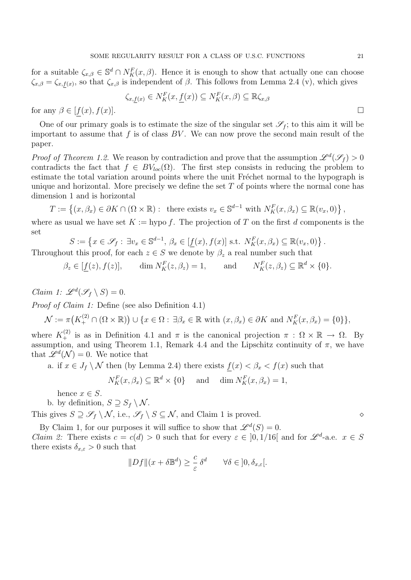for a suitable  $\zeta_{x,\beta} \in \mathbb{S}^d \cap N_K^F(x,\beta)$ . Hence it is enough to show that actually one can choose  $\zeta_{x,\beta} = \zeta_{x,f(x)}$ , so that  $\zeta_{x,\beta}$  is independent of  $\beta$ . This follows from Lemma 2.4 (v), which gives

$$
\zeta_{x,\underline{f}(x)} \in N_K^F(x,\underline{f}(x)) \subseteq N_K^F(x,\beta) \subseteq \mathbb{R}\zeta_{x,\beta}
$$

for any  $\beta \in [f(x), f(x)]$ .

One of our primary goals is to estimate the size of the singular set  $\mathscr{S}_f$ ; to this aim it will be important to assume that  $f$  is of class  $BV$ . We can now prove the second main result of the paper.

*Proof of Theorem 1.2.* We reason by contradiction and prove that the assumption  $\mathscr{L}^d(\mathscr{S}_f) > 0$ contradicts the fact that  $f \in BV_{loc}(\Omega)$ . The first step consists in reducing the problem to estimate the total variation around points where the unit Fréchet normal to the hypograph is unique and horizontal. More precisely we define the set  $T$  of points where the normal cone has dimension 1 and is horizontal

 $T := \left\{ (x, \beta_x) \in \partial K \cap (\Omega \times \mathbb{R}) : \text{ there exists } v_x \in \mathbb{S}^{d-1} \text{ with } N_K^F(x, \beta_x) \subseteq \mathbb{R}(v_x, 0) \right\},$ 

where as usual we have set  $K :=$  hypo f. The projection of T on the first d components is the set

$$
S := \left\{ x \in \mathscr{S}_f : \exists v_x \in \mathbb{S}^{d-1}, \, \beta_x \in [\underline{f}(x), f(x)] \text{ s.t. } N_K^F(x, \beta_x) \subseteq \mathbb{R}(v_x, 0) \right\}.
$$

Throughout this proof, for each  $z \in S$  we denote by  $\beta_z$  a real number such that

 $\beta_z \in [\underline{f}(z), f(z)], \quad \dim N_K^F(z, \beta_z) = 1, \quad \text{and} \quad N_K^F(z, \beta_z) \subseteq \mathbb{R}^d \times \{0\}.$ 

Claim 1:  $\mathscr{L}^d(\mathscr{S}_f \setminus S) = 0$ .

Proof of Claim 1: Define (see also Definition 4.1)

$$
\mathcal{N} := \pi\big(K_+^{(2)} \cap (\Omega \times \mathbb{R})\big) \cup \{x \in \Omega : \exists \beta_x \in \mathbb{R} \text{ with } (x, \beta_x) \in \partial K \text{ and } N_K^F(x, \beta_x) = \{0\}\},\
$$

where  $K_+^{(2)}$  is as in Definition 4.1 and  $\pi$  is the canonical projection  $\pi : \Omega \times \mathbb{R} \to \Omega$ . By assumption, and using Theorem 1.1, Remark 4.4 and the Lipschitz continuity of  $\pi$ , we have that  $\mathscr{L}^d(\mathcal{N}) = 0$ . We notice that

a. if  $x \in J_f \setminus \mathcal{N}$  then (by Lemma 2.4) there exists  $f(x) < \beta_x < f(x)$  such that

$$
N_K^F(x, \beta_x) \subseteq \mathbb{R}^d \times \{0\} \quad \text{and} \quad \dim N_K^F(x, \beta_x) = 1,
$$

hence  $x \in S$ .

b. by definition,  $S \supseteq S_f \setminus \mathcal{N}$ .

This gives  $S \supseteq \mathscr{S}_f \setminus \mathcal{N}$ , i.e.,  $\mathscr{S}_f \setminus S \subseteq \mathcal{N}$ , and Claim 1 is proved.  $\diamond$ 

By Claim 1, for our purposes it will suffice to show that  $\mathscr{L}^d(S) = 0$ . *Claim 2:* There exists  $c = c(d) > 0$  such that for every  $\varepsilon \in [0, 1/16]$  and for  $\mathscr{L}^d$ -a.e.  $x \in S$ there exists  $\delta_{x,\varepsilon} > 0$  such that

$$
||Df||(x+\delta \mathbb{B}^d) \ge \frac{c}{\varepsilon} \delta^d \qquad \forall \delta \in ]0, \delta_{x,\varepsilon}[.
$$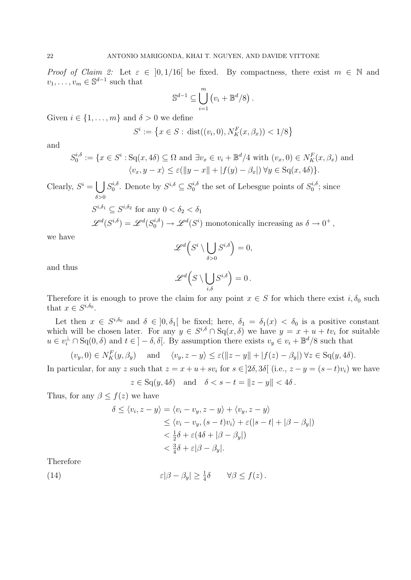*Proof of Claim 2:* Let  $\varepsilon \in [0, 1/16]$  be fixed. By compactness, there exist  $m \in \mathbb{N}$  and  $v_1, \ldots, v_m \in \mathbb{S}^{d-1}$  such that

$$
\mathbb{S}^{d-1} \subseteq \bigcup_{i=1}^m (v_i + \mathbb{B}^d/8).
$$

Given  $i \in \{1, \ldots, m\}$  and  $\delta > 0$  we define

$$
S^i := \left\{ x \in S : \, \text{dist}((v_i, 0), N_K^F(x, \beta_x)) < 1/8 \right\}
$$

and

$$
S_0^{i, \delta} := \{ x \in S^i : \text{Sq}(x, 4\delta) \subseteq \Omega \text{ and } \exists v_x \in v_i + \mathbb{B}^d / 4 \text{ with } (v_x, 0) \in N_K^F(x, \beta_x) \text{ and } \langle v_x, y - x \rangle \le \varepsilon (\|y - x\| + |f(y) - \beta_x|) \,\forall y \in \text{Sq}(x, 4\delta) \}.
$$

Clearly,  $S^i = \begin{bmatrix} \end{bmatrix}$  $\delta$  $>$ 0  $S_0^{i, \delta}$  $j_0^{i,\delta}$ . Denote by  $S^{i,\delta} \subseteq S_0^{i,\delta}$  $t_0^{i,\delta}$  the set of Lebesgue points of  $S_0^{i,\delta}$  $\zeta_0^{i,o}$ ; since

$$
S^{i, \delta_1} \subseteq S^{i, \delta_2} \text{ for any } 0 < \delta_2 < \delta_1
$$
  

$$
\mathscr{L}^d(S^{i, \delta}) = \mathscr{L}^d(S_0^{i, \delta}) \to \mathscr{L}^d(S^i) \text{ monotonically increasing as } \delta \to 0^+,
$$

we have

$$
\mathscr{L}^d\Big(S^i\setminus\bigcup_{\delta>0}S^{i,\delta}\Big)=0,
$$

and thus

$$
\mathscr{L}^d\Big(S\setminus \bigcup_{i,\delta}S^{i,\delta}\Big)=0\,.
$$

Therefore it is enough to prove the claim for any point  $x \in S$  for which there exist  $i, \delta_0$  such that  $x \in S^{i,\delta_0}$ .

Let then  $x \in S^{i,\delta_0}$  and  $\delta \in ]0,\delta_1[$  be fixed; here,  $\delta_1 = \delta_1(x) < \delta_0$  is a positive constant which will be chosen later. For any  $y \in S^{i,\delta} \cap \mathrm{Sq}(x,\delta)$  we have  $y = x + u + tv_i$  for suitable  $u \in v_i^{\perp} \cap \mathrm{Sq}(0, \delta)$  and  $t \in ]-\delta, \delta[$ . By assumption there exists  $v_y \in v_i + \mathbb{B}^d/8$  such that

$$
(v_y, 0) \in N_K^F(y, \beta_y)
$$
 and  $\langle v_y, z - y \rangle \le \varepsilon (\|z - y\| + |f(z) - \beta_y|) \forall z \in \text{Sq}(y, 4\delta).$ 

In particular, for any z such that  $z = x + u + sv_i$  for  $s \in ]2\delta, 3\delta[$  (i.e.,  $z - y = (s - t)v_i)$ ) we have

$$
z \in \text{Sq}(y, 4\delta)
$$
 and  $\delta < s - t = ||z - y|| < 4\delta$ .

Thus, for any  $\beta \leq f(z)$  we have

$$
\delta \le \langle v_i, z - y \rangle = \langle v_i - v_y, z - y \rangle + \langle v_y, z - y \rangle
$$
  
\n
$$
\le \langle v_i - v_y, (s - t)v_i \rangle + \varepsilon(|s - t| + |\beta - \beta_y|)
$$
  
\n
$$
< \frac{1}{2}\delta + \varepsilon(4\delta + |\beta - \beta_y|)
$$
  
\n
$$
< \frac{3}{4}\delta + \varepsilon|\beta - \beta_y|.
$$

Therefore

(14) 
$$
\varepsilon |\beta - \beta_y| \geq \frac{1}{4} \delta \qquad \forall \beta \leq f(z).
$$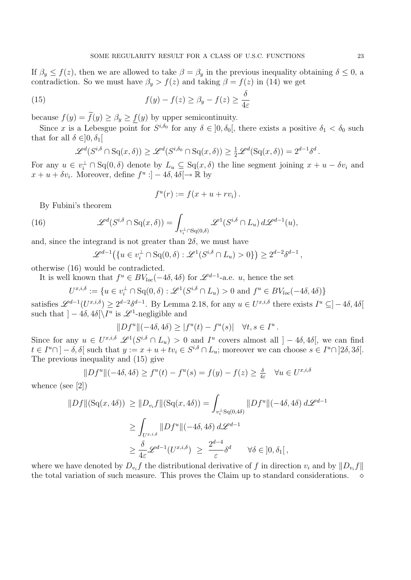If  $\beta_y \le f(z)$ , then we are allowed to take  $\beta = \beta_y$  in the previous inequality obtaining  $\delta \le 0$ , a contradiction. So we must have  $\beta_y > f(z)$  and taking  $\beta = f(z)$  in (14) we get

(15) 
$$
f(y) - f(z) \ge \beta_y - f(z) \ge \frac{\delta}{4\varepsilon}
$$

because  $f(y) = \tilde{f}(y) \ge \beta_y \ge \underline{f}(y)$  by upper semicontinuity.

Since x is a Lebesgue point for  $S^{i,\delta_0}$  for any  $\delta \in ]0,\delta_0[$ , there exists a positive  $\delta_1 < \delta_0$  such that for all  $\delta \in ]0, \delta_1[$ 

$$
\mathscr{L}^d(S^{i,\delta}\cap \mathrm{Sq}(x,\delta)) \geq \mathscr{L}^d(S^{i,\delta_0}\cap \mathrm{Sq}(x,\delta)) \geq \frac{1}{2}\mathscr{L}^d(\mathrm{Sq}(x,\delta)) = 2^{d-1}\delta^d.
$$

For any  $u \in v_i^{\perp} \cap Sq(0, \delta)$  denote by  $L_u \subseteq Sq(x, \delta)$  the line segment joining  $x + u - \delta v_i$  and  $x + u + \delta v_i$ . Moreover, define  $f^u : ] - 4\delta, 4\delta \rightarrow \mathbb{R}$  by

$$
f^u(r) := f(x + u + rv_i).
$$

By Fubini's theorem

(16) 
$$
\mathscr{L}^d(S^{i,\delta}\cap \mathrm{Sq}(x,\delta))=\int_{v_i^{\perp}\cap \mathrm{Sq}(0,\delta)}\mathscr{L}^1(S^{i,\delta}\cap L_u)\,d\mathscr{L}^{d-1}(u),
$$

and, since the integrand is not greater than  $2\delta$ , we must have

$$
\mathscr{L}^{d-1}(\lbrace u \in v_i^{\perp} \cap \mathrm{Sq}(0,\delta) : \mathscr{L}^1(S^{i,\delta} \cap L_u) > 0 \rbrace) \geq 2^{d-2} \delta^{d-1},
$$

otherwise (16) would be contradicted.

It is well known that  $f^u \in BV_{loc}(-4\delta, 4\delta)$  for  $\mathscr{L}^{d-1}$ -a.e. u, hence the set

 $U^{x,i,\delta} := \{ u \in v_i^{\perp} \cap \mathrm{Sq}(0,\delta) : \mathscr{L}^1(S^{i,\delta} \cap L_u) > 0 \text{ and } f^u \in BV_{loc}(-4\delta, 4\delta) \}$ 

satisfies  $\mathscr{L}^{d-1}(U^{x,i,\delta}) \geq 2^{d-2}\delta^{d-1}$ . By Lemma 2.18, for any  $u \in U^{x,i,\delta}$  there exists  $I^u \subseteq ]-4\delta, 4\delta[$ such that  $]-4\delta, 4\delta[\{I^u \text{ is } \mathscr{L}^1\text{-negligible and} \}$ 

$$
||Df^u||(-4\delta, 4\delta) \ge |f^u(t) - f^u(s)| \quad \forall t, s \in I^u.
$$

Since for any  $u \in U^{x,i,\delta}$   $\mathscr{L}^1(S^{i,\delta} \cap L_u) > 0$  and  $I^u$  covers almost all  $] - 4\delta, 4\delta[$ , we can find  $t \in I^u \cap ] - \delta, \delta[$  such that  $y := x + u + tv_i \in S^{i,\delta} \cap L_u$ ; moreover we can choose  $s \in I^u \cap ]2\delta, 3\delta[$ . The previous inequality and (15) give

$$
||Df^u||(-4\delta, 4\delta) \ge f^u(t) - f^u(s) = f(y) - f(z) \ge \frac{\delta}{4\varepsilon} \quad \forall u \in U^{x, i, \delta}
$$

whence (see [2])

$$
||Df||(\mathrm{Sq}(x,4\delta)) \ge ||D_{v_i}f||(\mathrm{Sq}(x,4\delta)) = \int_{v_i^{\perp}S\mathrm{q}(0,4\delta)} ||Df^u||(-4\delta,4\delta) d\mathcal{L}^{d-1}
$$
  
\n
$$
\ge \int_{U^{x,i,\delta}} ||Df^u||(-4\delta,4\delta) d\mathcal{L}^{d-1}
$$
  
\n
$$
\ge \frac{\delta}{4\varepsilon} \mathcal{L}^{d-1}(U^{x,i,\delta}) \ge \frac{2^{d-4}}{\varepsilon} \delta^d \qquad \forall \delta \in ]0,\delta_1[,
$$

where we have denoted by  $D_{v_i} f$  the distributional derivative of f in direction  $v_i$  and by  $||D_{v_i} f||$ the total variation of such measure. This proves the Claim up to standard considerations.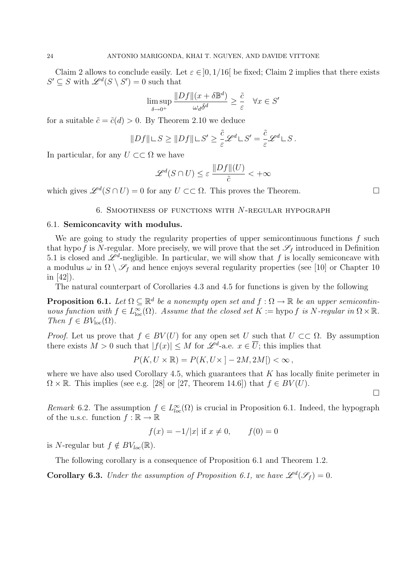Claim 2 allows to conclude easily. Let  $\varepsilon \in ]0, 1/16[$  be fixed; Claim 2 implies that there exists  $S' \subseteq S$  with  $\mathscr{L}^d(S \setminus S') = 0$  such that

$$
\limsup_{\delta \to 0^+} \frac{\|Df\|(x + \delta \mathbb{B}^d)}{\omega_d \delta^d} \ge \frac{\tilde{c}}{\varepsilon} \quad \forall x \in S'
$$

for a suitable  $\tilde{c} = \tilde{c}(d) > 0$ . By Theorem 2.10 we deduce

$$
||Df|| \sqcup S \ge ||Df|| \sqcup S' \ge \frac{\tilde{c}}{\varepsilon} \mathscr{L}^d \sqcup S' = \frac{\tilde{c}}{\varepsilon} \mathscr{L}^d \sqcup S.
$$

In particular, for any  $U \subset\subset \Omega$  we have

$$
\mathscr{L}^d(S \cap U) \le \varepsilon \, \frac{\|Df\|(U)}{\tilde{c}} < +\infty
$$

which gives  $\mathscr{L}^d(S \cap U) = 0$  for any  $U \subset\subset \Omega$ . This proves the Theorem.

#### 6. Smoothness of functions with N-regular hypograph

#### 6.1. Semiconcavity with modulus.

We are going to study the regularity properties of upper semicontinuous functions  $f$  such that hypof is N-regular. More precisely, we will prove that the set  $\mathscr{S}_f$  introduced in Definition 5.1 is closed and  $\mathscr{L}^d$ -negligible. In particular, we will show that f is locally semiconcave with a modulus  $\omega$  in  $\Omega \setminus \mathscr{S}_f$  and hence enjoys several regularity properties (see [10] or Chapter 10 in [42]).

The natural counterpart of Corollaries 4.3 and 4.5 for functions is given by the following

**Proposition 6.1.** Let  $\Omega \subseteq \mathbb{R}^d$  be a nonempty open set and  $f : \Omega \to \mathbb{R}$  be an upper semicontinuous function with  $f \in L^{\infty}_{loc}(\Omega)$ . Assume that the closed set  $K := \text{hypo } f$  is N-regular in  $\Omega \times \mathbb{R}$ . Then  $f \in BV_{\text{loc}}(\Omega)$ .

*Proof.* Let us prove that  $f \in BV(U)$  for any open set U such that  $U \subset\subset \Omega$ . By assumption there exists  $M > 0$  such that  $|f(x)| \leq M$  for  $\mathscr{L}^d$ -a.e.  $x \in \overline{U}$ ; this implies that

$$
P(K, U \times \mathbb{R}) = P(K, U \times ]-2M, 2M[) < \infty,
$$

where we have also used Corollary 4.5, which guarantees that  $K$  has locally finite perimeter in  $\Omega \times \mathbb{R}$ . This implies (see e.g. [28] or [27, Theorem 14.6]) that  $f \in BV(U)$ .

 $\Box$ 

Remark 6.2. The assumption  $f \in L^{\infty}_{loc}(\Omega)$  is crucial in Proposition 6.1. Indeed, the hypograph of the u.s.c. function  $f : \mathbb{R} \to \mathbb{R}$ 

$$
f(x) = -1/|x|
$$
 if  $x \neq 0$ ,  $f(0) = 0$ 

is N-regular but  $f \notin BV_{loc}(\mathbb{R})$ .

The following corollary is a consequence of Proposition 6.1 and Theorem 1.2.

**Corollary 6.3.** Under the assumption of Proposition 6.1, we have  $\mathscr{L}^d(\mathscr{S}_f) = 0$ .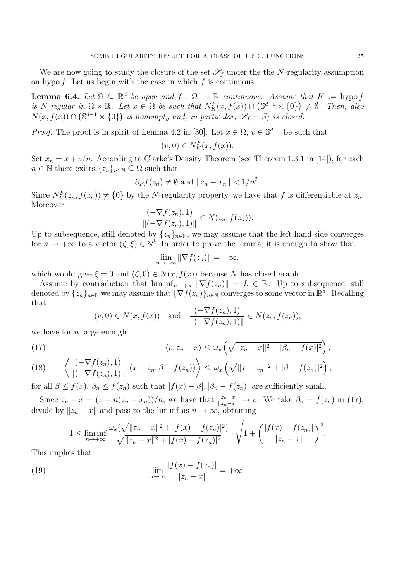We are now going to study the closure of the set  $\mathscr{S}_f$  under the the N-regularity assumption on hypo  $f$ . Let us begin with the case in which  $f$  is continuous.

**Lemma 6.4.** Let  $\Omega \subseteq \mathbb{R}^d$  be open and  $f : \Omega \to \mathbb{R}$  continuous. Assume that  $K := \text{hypo } f$ is N-regular in  $\Omega \times \mathbb{R}$ . Let  $x \in \Omega$  be such that  $N_K^F(x, f(x)) \cap (\mathbb{S}^{d-1} \times \{0\}) \neq \emptyset$ . Then, also  $N(x, f(x)) \cap (\mathbb{S}^{d-1} \times \{0\})$  is nonempty and, in particular,  $\mathscr{S}_f = S_f$  is closed.

*Proof.* The proof is in spirit of Lemma 4.2 in [30]. Let  $x \in \Omega$ ,  $v \in \mathbb{S}^{d-1}$  be such that

$$
(v,0) \in N_K^F(x,f(x)).
$$

Set  $x_n = x + v/n$ . According to Clarke's Density Theorem (see Theorem 1.3.1 in [14]), for each  $n \in \mathbb{N}$  there exists  $\{z_n\}_{n \in \mathbb{N}} \subseteq \Omega$  such that

$$
\partial_F f(z_n) \neq \emptyset
$$
 and  $||z_n - x_n|| < 1/n^2$ .

Since  $N_K^F(z_n, f(z_n)) \neq \{0\}$  by the N-regularity property, we have that f is differentiable at  $z_n$ . Moreover

$$
\frac{(-\nabla f(z_n),1)}{\|(-\nabla f(z_n),1)\|} \in N(z_n,f(z_n)).
$$

Up to subsequence, still denoted by  $\{z_n\}_{n\in\mathbb{N}}$ , we may assume that the left hand side converges for  $n \to +\infty$  to a vector  $(\zeta, \xi) \in \mathbb{S}^d$ . In order to prove the lemma, it is enough to show that

$$
\lim_{n \to +\infty} \|\nabla f(z_n)\| = +\infty,
$$

which would give  $\xi = 0$  and  $(\zeta, 0) \in N(x, f(x))$  because N has closed graph.

Assume by contradiction that  $\liminf_{n\to+\infty} \|\nabla f(z_n)\| = L \in \mathbb{R}$ . Up to subsequence, still denoted by  $\{z_n\}_{n\in\mathbb{N}}$  we may assume that  $\{\nabla f(z_n)\}_{n\in\mathbb{N}}$  converges to some vector in  $\mathbb{R}^d$ . Recalling that

$$
(v, 0) \in N(x, f(x))
$$
 and  $\frac{(-\nabla f(z_n), 1)}{\|(-\nabla f(z_n), 1)\|} \in N(z_n, f(z_n)),$ 

we have for  $n$  large enough

(17) 
$$
\langle v, z_n - x \rangle \leq \omega_x \left( \sqrt{\|z_n - x\|^2 + |\beta_n - f(x)|^2} \right),
$$

(18) 
$$
\left\langle \frac{(-\nabla f(z_n), 1)}{\|(-\nabla f(z_n), 1)\|}, (x - z_n, \beta - f(z_n)) \right\rangle \leq \omega_x \left( \sqrt{\|x - z_n\|^2 + |\beta - f(z_n)|^2} \right),
$$

for all  $\beta \leq f(x)$ ,  $\beta_n \leq f(z_n)$  such that  $|f(x) - \beta|$ ,  $|\beta_n - f(z_n)|$  are sufficiently small.

Since  $z_n - x = (v + n(z_n - x_n))/n$ , we have that  $\frac{z_n - x}{\|z_n - x\|} \to v$ . We take  $\beta_n = f(z_n)$  in (17), divide by  $||z_n - x||$  and pass to the lim inf as  $n \to \infty$ , obtaining

$$
1 \leq \liminf_{n \to +\infty} \frac{\omega_x(\sqrt{\|z_n - x\|^2 + |f(x) - f(z_n)|^2})}{\sqrt{\|z_n - x\|^2 + |f(x) - f(z_n)|^2}} \cdot \sqrt{1 + \left(\frac{|f(x) - f(z_n)|}{\|z_n - x\|}\right)^2}.
$$

This implies that

(19) 
$$
\lim_{n \to \infty} \frac{|f(x) - f(z_n)|}{\|z_n - x\|} = +\infty,
$$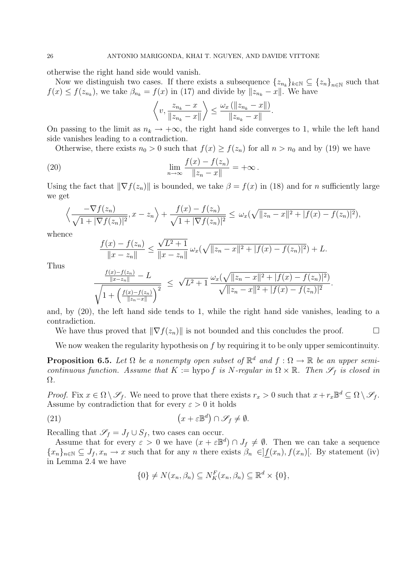otherwise the right hand side would vanish.

Now we distinguish two cases. If there exists a subsequence  $\{z_{n_k}\}_{k\in\mathbb{N}}\subseteq \{z_n\}_{n\in\mathbb{N}}$  such that  $f(x) \le f(z_{n_k})$ , we take  $\beta_{n_k} = f(x)$  in (17) and divide by  $||z_{n_k} - x||$ . We have

$$
\left\langle v, \frac{z_{n_k} - x}{\|z_{n_k} - x\|} \right\rangle \le \frac{\omega_x (\|z_{n_k} - x\|)}{\|z_{n_k} - x\|}.
$$

On passing to the limit as  $n_k \to +\infty$ , the right hand side converges to 1, while the left hand side vanishes leading to a contradiction.

Otherwise, there exists  $n_0 > 0$  such that  $f(x) \ge f(z_n)$  for all  $n > n_0$  and by (19) we have

(20) 
$$
\lim_{n \to \infty} \frac{f(x) - f(z_n)}{\|z_n - x\|} = +\infty.
$$

Using the fact that  $\|\nabla f(z_n)\|$  is bounded, we take  $\beta = f(x)$  in (18) and for n sufficiently large we get

$$
\left\langle \frac{-\nabla f(z_n)}{\sqrt{1+|\nabla f(z_n)|^2}}, x-z_n \right\rangle + \frac{f(x)-f(z_n)}{\sqrt{1+|\nabla f(z_n)|^2}} \leq \omega_x(\sqrt{\|z_n-x\|^2 + |f(x)-f(z_n)|^2}),
$$

whence

$$
\frac{f(x) - f(z_n)}{\|x - z_n\|} \le \frac{\sqrt{L^2 + 1}}{\|x - z_n\|} \omega_x(\sqrt{\|z_n - x\|^2 + |f(x) - f(z_n)|^2}) + L.
$$

Thus

$$
\frac{\frac{f(x)-f(z_n)}{\|x-z_n\|}-L}{\sqrt{1+\left(\frac{f(x)-f(z_n)}{\|z_n-x\|}\right)^2}} \leq \sqrt{L^2+1} \frac{\omega_x(\sqrt{\|z_n-x\|^2+|f(x)-f(z_n)|^2})}{\sqrt{\|z_n-x\|^2+|f(x)-f(z_n)|^2}}.
$$

and, by (20), the left hand side tends to 1, while the right hand side vanishes, leading to a contradiction.

We have thus proved that  $\|\nabla f(z_n)\|$  is not bounded and this concludes the proof.  $\Box$ 

We now weaken the regularity hypothesis on f by requiring it to be only upper semicontinuity.

**Proposition 6.5.** Let  $\Omega$  be a nonempty open subset of  $\mathbb{R}^d$  and  $f : \Omega \to \mathbb{R}$  be an upper semicontinuous function. Assume that  $K := \text{hypo } f$  is N-regular in  $\Omega \times \mathbb{R}$ . Then  $\mathscr{S}_f$  is closed in Ω.

*Proof.* Fix  $x \in \Omega \setminus \mathscr{S}_f$ . We need to prove that there exists  $r_x > 0$  such that  $x + r_x \mathbb{B}^d \subseteq \Omega \setminus \mathscr{S}_f$ . Assume by contradiction that for every  $\varepsilon > 0$  it holds

(21) 
$$
(x + \varepsilon \mathbb{B}^d) \cap \mathscr{S}_f \neq \emptyset.
$$

Recalling that  $\mathscr{S}_f = J_f \cup S_f$ , two cases can occur.

Assume that for every  $\varepsilon > 0$  we have  $(x + \varepsilon \mathbb{B}^d) \cap J_f \neq \emptyset$ . Then we can take a sequence  ${x_n}_{n\in\mathbb{N}}\subseteq J_f, x_n\to x$  such that for any n there exists  $\beta_n\in]f(x_n), f(x_n)[$ . By statement (iv) in Lemma 2.4 we have

$$
\{0\} \neq N(x_n, \beta_n) \subseteq N_K^F(x_n, \beta_n) \subseteq \mathbb{R}^d \times \{0\},\
$$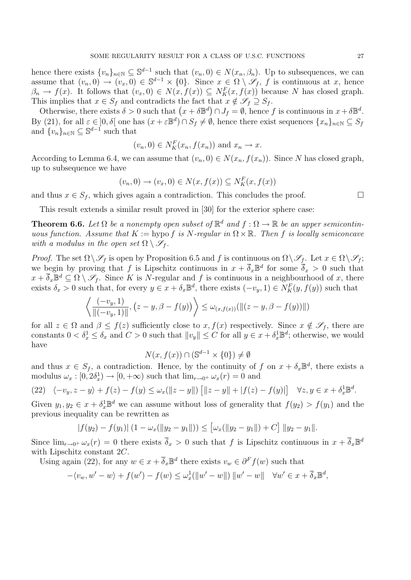hence there exists  $\{v_n\}_{n\in\mathbb{N}}\subseteq\mathbb{S}^{d-1}$  such that  $(v_n, 0)\in N(x_n, \beta_n)$ . Up to subsequences, we can assume that  $(v_n, 0) \to (v_x, 0) \in \mathbb{S}^{d-1} \times \{0\}$ . Since  $x \in \Omega \setminus \mathscr{S}_f$ , f is continuous at x, hence  $\beta_n \to f(x)$ . It follows that  $(v_x, 0) \in N(x, f(x)) \subseteq N_K^F(x, f(x))$  because N has closed graph. This implies that  $x \in S_f$  and contradicts the fact that  $x \notin \mathscr{S}_f \supseteq S_f$ .

Otherwise, there exists  $\delta > 0$  such that  $(x + \delta \mathbb{B}^d) \cap J_f = \emptyset$ , hence f is continuous in  $x + \delta \mathbb{B}^d$ . By (21), for all  $\varepsilon \in ]0, \delta[$  one has  $(x + \varepsilon \mathbb{B}^d) \cap S_f \neq \emptyset$ , hence there exist sequences  $\{x_n\}_{n \in \mathbb{N}} \subseteq S_f$ and  $\{v_n\}_{n\in\mathbb{N}}\subseteq\mathbb{S}^{d-1}$  such that

$$
(v_n, 0) \in N_K^F(x_n, f(x_n))
$$
 and  $x_n \to x$ .

According to Lemma 6.4, we can assume that  $(v_n, 0) \in N(x_n, f(x_n))$ . Since N has closed graph, up to subsequence we have

$$
(v_n, 0) \to (v_x, 0) \in N(x, f(x)) \subseteq N_K^F(x, f(x))
$$

and thus  $x \in S_f$ , which gives again a contradiction. This concludes the proof.  $\Box$ 

This result extends a similar result proved in [30] for the exterior sphere case:

**Theorem 6.6.** Let  $\Omega$  be a nonempty open subset of  $\mathbb{R}^d$  and  $f : \Omega \to \mathbb{R}$  be an upper semicontinuous function. Assume that  $K := \text{hypo } f$  is N-regular in  $\Omega \times \mathbb{R}$ . Then f is locally semiconcave with a modulus in the open set  $\Omega \setminus \mathscr{S}_f$ .

*Proof.* The set  $\Omega \setminus \mathscr{S}_f$  is open by Proposition 6.5 and f is continuous on  $\Omega \setminus \mathscr{S}_f$ . Let  $x \in \Omega \setminus \mathscr{S}_f$ ; we begin by proving that f is Lipschitz continuous in  $x + \overline{\delta}_x \mathbb{B}^d$  for some  $\overline{\delta}_x > 0$  such that  $x + \overline{\delta}_x \mathbb{B}^d \subseteq \Omega \setminus \mathscr{S}_f$ . Since K is N-regular and f is continuous in a neighbourhood of x, there exists  $\delta_x > 0$  such that, for every  $y \in x + \delta_x \mathbb{B}^d$ , there exists  $(-v_y, 1) \in N_K^F(y, f(y))$  such that

$$
\left\langle \frac{(-v_y, 1)}{\|(-v_y, 1)\|}, (z - y, \beta - f(y)) \right\rangle \leq \omega_{(x, f(x))}(\|(z - y, \beta - f(y))\|)
$$

for all  $z \in \Omega$  and  $\beta \leq f(z)$  sufficiently close to  $x, f(x)$  respectively. Since  $x \notin \mathscr{S}_f$ , there are constants  $0 < \delta_x^1 \leq \delta_x$  and  $C > 0$  such that  $||v_y|| \leq C$  for all  $y \in x + \delta_x^1 \mathbb{B}^d$ ; otherwise, we would have

$$
N(x, f(x)) \cap (\mathbb{S}^{d-1} \times \{0\}) \neq \emptyset
$$

and thus  $x \in S_f$ , a contradiction. Hence, by the continuity of f on  $x + \delta_x \mathbb{B}^d$ , there exists a modulus  $\omega_x : [0, 2\delta_x^1] \to [0, +\infty)$  such that  $\lim_{r \to 0^+} \omega_x(r) = 0$  and

$$
(22) \quad \langle -v_y, z - y \rangle + f(z) - f(y) \leq \omega_x(\|z - y\|) \left[ \|z - y\| + |f(z) - f(y)| \right] \quad \forall z, y \in x + \delta_x^1 \mathbb{B}^d.
$$

Given  $y_1, y_2 \in x + \delta_x^1 \mathbb{B}^d$  we can assume without loss of generality that  $f(y_2) > f(y_1)$  and the previous inequality can be rewritten as

$$
|f(y_2) - f(y_1)| (1 - \omega_x(||y_2 - y_1||)) \le [\omega_x(||y_2 - y_1||) + C] ||y_2 - y_1||.
$$

Since  $\lim_{r\to 0^+} \omega_x(r) = 0$  there exists  $\overline{\delta}_x > 0$  such that f is Lipschitz continuous in  $x + \overline{\delta}_x \mathbb{B}^d$ with Lipschitz constant 2C.

Using again (22), for any  $w \in x + \overline{\delta}_x \mathbb{B}^d$  there exists  $v_w \in \partial^F f(w)$  such that

$$
-\langle v_w, w'-w\rangle + f(w') - f(w) \leq \omega_x^1(\|w'-w\|) \|w'-w\| \quad \forall w' \in x + \overline{\delta}_x \mathbb{B}^d,
$$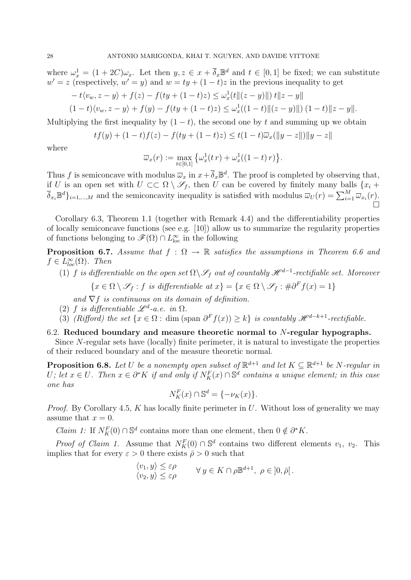where  $\omega_x^1 = (1 + 2C)\omega_x$ . Let then  $y, z \in x + \overline{\delta}_x \mathbb{B}^d$  and  $t \in [0, 1]$  be fixed; we can substitute  $w' = z$  (respectively,  $w' = y$ ) and  $w = ty + (1 - t)z$  in the previous inequality to get

$$
- t \langle v_w, z - y \rangle + f(z) - f(ty + (1 - t)z) \leq \omega_x^1(t ||(z - y)||) t ||z - y||
$$
  

$$
(1 - t) \langle v_w, z - y \rangle + f(y) - f(ty + (1 - t)z) \leq \omega_x^1((1 - t) ||(z - y)||) (1 - t) ||z - y||.
$$

Multiplying the first inequality by  $(1 - t)$ , the second one by t and summing up we obtain

$$
tf(y) + (1-t)f(z) - f(ty + (1-t)z) \le t(1-t)\overline{\omega}_x(||y-z||) ||y-z||
$$

where

$$
\overline{\omega}_x(r) := \max_{t \in [0,1]} \left\{ \omega_x^1(t \, r) + \omega_x^1((1-t) \, r) \right\}.
$$

Thus f is semiconcave with modulus  $\overline{\omega}_x$  in  $x + \overline{\delta}_x \mathbb{B}^d$ . The proof is completed by observing that, if U is an open set with  $U \subset \subset \Omega \setminus \mathscr{S}_f$ , then U can be covered by finitely many balls  $\{x_i +$  $\overline{\delta}_{x_i} \mathbb{B}^d \}_{i=1,\dots,M}$  and the semiconcavity inequality is satisfied with modulus  $\overline{\omega}_U(r) = \sum_{i=1}^M \overline{\omega}_{x_i}(r)$ .  $\Box$ 

Corollary 6.3, Theorem 1.1 (together with Remark 4.4) and the differentiability properties of locally semiconcave functions (see e.g. [10]) allow us to summarize the regularity properties of functions belonging to  $\mathscr{F}(\Omega) \cap L^{\infty}_{loc}$  in the following

**Proposition 6.7.** Assume that  $f : \Omega \to \mathbb{R}$  satisfies the assumptions in Theorem 6.6 and  $f \in L^{\infty}_{loc}(\Omega)$ . Then

- (1) f is differentiable on the open set  $\Omega \backslash \mathscr{S}_f$  out of countably  $\mathscr{H}^{d-1}$ -rectifiable set. Moreover
	- $\{x \in \Omega \setminus \mathscr{S}_f : f \text{ is differentiable at } x\} = \{x \in \Omega \setminus \mathscr{S}_f : \#\partial^F f(x) = 1\}$

and  $\nabla f$  is continuous on its domain of definition.

- (2) f is differentiable  $\mathscr{L}^d$ -a.e. in  $\Omega$ .
- (3) (Rifford) the set  $\{x \in \Omega : \text{dim (span } \partial^F f(x)) \geq k\}$  is countably  $\mathcal{H}^{d-k+1}$ -rectifiable.

#### 6.2. Reduced boundary and measure theoretic normal to  $N$ -regular hypographs.

Since N-regular sets have (locally) finite perimeter, it is natural to investigate the properties of their reduced boundary and of the measure theoretic normal.

**Proposition 6.8.** Let U be a nonempty open subset of  $\mathbb{R}^{d+1}$  and let  $K \subseteq \mathbb{R}^{d+1}$  be N-regular in U; let  $x \in U$ . Then  $x \in \partial^* K$  if and only if  $N_K^F(x) \cap \mathbb{S}^d$  contains a unique element; in this case one has

$$
N_K^F(x) \cap \mathbb{S}^d = \{-\nu_K(x)\}.
$$

*Proof.* By Corollary 4.5, K has locally finite perimeter in U. Without loss of generality we may assume that  $x = 0$ .

*Claim 1*: If  $N_K^F(0) \cap \mathbb{S}^d$  contains more than one element, then  $0 \notin \partial^* K$ .

*Proof of Claim 1.* Assume that  $N_K^F(0) \cap \mathbb{S}^d$  contains two different elements  $v_1, v_2$ . This implies that for every  $\varepsilon > 0$  there exists  $\bar{\rho} > 0$  such that

$$
\begin{aligned}\n\langle v_1, y \rangle &\leq \varepsilon \rho \\
\langle v_2, y \rangle &\leq \varepsilon \rho\n\end{aligned}\n\quad \forall y \in K \cap \rho \mathbb{B}^{d+1}, \ \rho \in ]0, \bar{\rho}[\,.
$$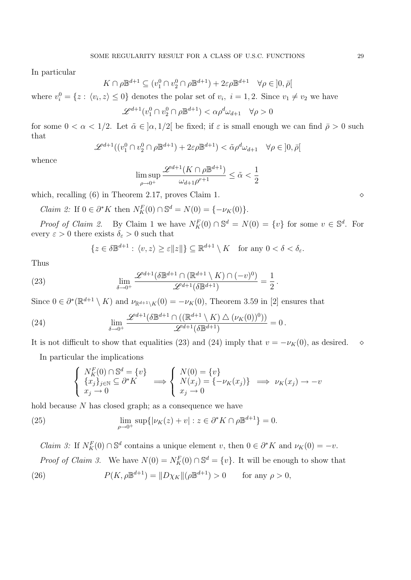In particular

$$
K \cap \rho \mathbb{B}^{d+1} \subseteq (v_1^0 \cap v_2^0 \cap \rho \mathbb{B}^{d+1}) + 2\varepsilon \rho \mathbb{B}^{d+1} \quad \forall \rho \in ]0, \bar{\rho}[
$$

where  $v_i^0 = \{z : \langle v_i, z \rangle \leq 0\}$  denotes the polar set of  $v_i$ ,  $i = 1, 2$ . Since  $v_1 \neq v_2$  we have

$$
\mathcal{L}^{d+1}(v_1^0 \cap v_2^0 \cap \rho \mathbb{B}^{d+1}) < \alpha \rho^d \omega_{d+1} \quad \forall \rho > 0
$$

for some  $0 < \alpha < 1/2$ . Let  $\tilde{\alpha} \in (\alpha, 1/2)$  be fixed; if  $\varepsilon$  is small enough we can find  $\bar{\rho} > 0$  such that

$$
\mathcal{L}^{d+1}((v_1^0 \cap v_2^0 \cap \rho \mathbb{B}^{d+1}) + 2\varepsilon \rho \mathbb{B}^{d+1}) < \tilde{\alpha}\rho^d \omega_{d+1} \quad \forall \rho \in ]0, \bar{\rho}[
$$

whence

$$
\limsup_{\rho \to 0^+} \frac{\mathscr{L}^{d+1}(K \cap \rho \mathbb{B}^{d+1})}{\omega_{d+1} \rho^{r+1}} \le \tilde{\alpha} < \frac{1}{2}
$$

which, recalling  $(6)$  in Theorem 2.17, proves Claim 1.  $\diamond$ 

*Claim 2:* If  $0 \in \partial^* K$  then  $N_K^F(0) \cap \mathbb{S}^d = N(0) = \{-\nu_K(0)\}.$ 

*Proof of Claim 2.* By Claim 1 we have  $N_K^F(0) \cap \mathbb{S}^d = N(0) = \{v\}$  for some  $v \in \mathbb{S}^d$ . For every  $\varepsilon > 0$  there exists  $\delta_{\varepsilon} > 0$  such that

$$
\{z \in \delta \mathbb{B}^{d+1} : \langle v, z \rangle \ge \varepsilon ||z||\} \subseteq \mathbb{R}^{d+1} \setminus K \quad \text{for any } 0 < \delta < \delta_{\varepsilon}.
$$

.

Thus

(23) 
$$
\lim_{\delta \to 0^+} \frac{\mathscr{L}^{d+1}(\delta \mathbb{B}^{d+1} \cap (\mathbb{R}^{d+1} \setminus K) \cap (-v)^0)}{\mathscr{L}^{d+1}(\delta \mathbb{B}^{d+1})} = \frac{1}{2}
$$

Since  $0 \in \partial^* (\mathbb{R}^{d+1} \setminus K)$  and  $\nu_{\mathbb{R}^{d+1} \setminus K}(0) = -\nu_K(0)$ , Theorem 3.59 in [2] ensures that

(24) 
$$
\lim_{\delta \to 0^+} \frac{\mathscr{L}^{d+1}(\delta \mathbb{B}^{d+1} \cap ((\mathbb{R}^{d+1} \setminus K) \triangle (\nu_K(0))^0))}{\mathscr{L}^{d+1}(\delta \mathbb{B}^{d+1})} = 0.
$$

It is not difficult to show that equalities (23) and (24) imply that  $v = -\nu_K(0)$ , as desired.  $\diamond$ 

In particular the implications

$$
\begin{cases} N_K^F(0) \cap \mathbb{S}^d = \{v\} \\ \{x_j\}_{j \in \mathbb{N}} \subseteq \partial^* K \\ x_j \to 0 \end{cases} \implies \begin{cases} N(0) = \{v\} \\ N(x_j) = \{-\nu_K(x_j)\} \\ x_j \to 0 \end{cases} \implies \nu_K(x_j) \to -v
$$

hold because N has closed graph; as a consequence we have

(25) 
$$
\lim_{\rho \to 0^+} \sup \{ |\nu_K(z) + v| : z \in \partial^* K \cap \rho \mathbb{B}^{d+1} \} = 0.
$$

*Claim 3*: If  $N_K^F(0) \cap \mathbb{S}^d$  contains a unique element v, then  $0 \in \partial^* K$  and  $\nu_K(0) = -v$ .

*Proof of Claim 3.* We have  $N(0) = N_K^F(0) \cap \mathbb{S}^d = \{v\}$ . It will be enough to show that

(26) 
$$
P(K, \rho \mathbb{B}^{d+1}) = ||D\chi_K||(\rho \mathbb{B}^{d+1}) > 0 \quad \text{for any } \rho > 0,
$$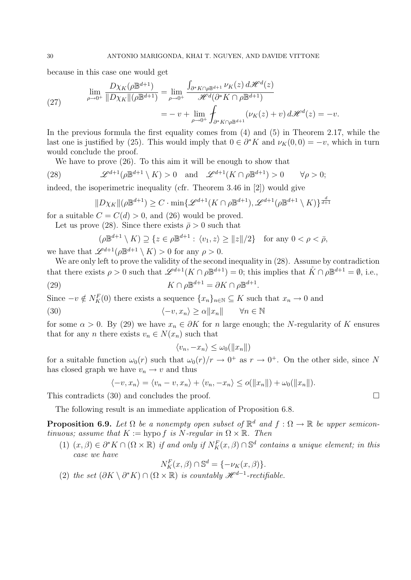because in this case one would get

(27) 
$$
\lim_{\rho \to 0^+} \frac{D\chi_K(\rho \mathbb{B}^{d+1})}{\|D\chi_K\|(\rho \mathbb{B}^{d+1})} = \lim_{\rho \to 0^+} \frac{\int_{\partial^* K \cap \rho \mathbb{B}^{d+1}} \nu_K(z) d\mathcal{H}^d(z)}{\mathcal{H}^d(\partial^* K \cap \rho \mathbb{B}^{d+1})}
$$

$$
= -v + \lim_{\rho \to 0^+} \int_{\partial^* K \cap \rho \mathbb{B}^{d+1}} (\nu_K(z) + v) d\mathcal{H}^d(z) = -v.
$$

In the previous formula the first equality comes from (4) and (5) in Theorem 2.17, while the last one is justified by (25). This would imply that  $0 \in \partial^* K$  and  $\nu_K(0,0) = -v$ , which in turn would conclude the proof.

We have to prove (26). To this aim it will be enough to show that

(28) 
$$
\mathscr{L}^{d+1}(\rho \mathbb{B}^{d+1} \setminus K) > 0
$$
 and  $\mathscr{L}^{d+1}(K \cap \rho \mathbb{B}^{d+1}) > 0 \quad \forall \rho > 0;$ 

indeed, the isoperimetric inequality (cfr. Theorem 3.46 in [2]) would give

$$
||D\chi_K||(\rho \mathbb{B}^{d+1}) \ge C \cdot \min\{\mathscr{L}^{d+1}(K \cap \rho \mathbb{B}^{d+1}), \mathscr{L}^{d+1}(\rho \mathbb{B}^{d+1} \setminus K)\}^{\frac{d}{d+1}}
$$

for a suitable  $C = C(d) > 0$ , and (26) would be proved.

Let us prove (28). Since there exists  $\bar{\rho} > 0$  such that

$$
(\rho \mathbb{B}^{d+1} \setminus K) \supseteq \{z \in \rho \mathbb{B}^{d+1} : \langle v_1, z \rangle \ge ||z||/2\} \text{ for any } 0 < \rho < \overline{\rho},
$$

we have that  $\mathscr{L}^{d+1}(\rho \mathbb{B}^{d+1} \setminus K) > 0$  for any  $\rho > 0$ .

We are only left to prove the validity of the second inequality in  $(28)$ . Assume by contradiction that there exists  $\rho > 0$  such that  $\mathscr{L}^{d+1}(K \cap \rho \mathbb{B}^{d+1}) = 0$ ; this implies that  $K \cap \rho \mathbb{B}^{d+1} = \emptyset$ , i.e., (29)  $K \cap \rho \mathbb{B}^{d+1} = \partial K \cap \rho \mathbb{B}^{d+1}.$ 

Since  $-v \notin N_K^F(0)$  there exists a sequence  $\{x_n\}_{n\in\mathbb{N}} \subseteq K$  such that  $x_n \to 0$  and

(30) 
$$
\langle -v, x_n \rangle \ge \alpha ||x_n|| \quad \forall n \in \mathbb{N}
$$

for some  $\alpha > 0$ . By (29) we have  $x_n \in \partial K$  for n large enough; the N-regularity of K ensures that for any *n* there exists  $v_n \in N(x_n)$  such that

$$
\langle v_n, -x_n \rangle \le \omega_0(||x_n||)
$$

for a suitable function  $\omega_0(r)$  such that  $\omega_0(r)/r \to 0^+$  as  $r \to 0^+$ . On the other side, since N has closed graph we have  $v_n \to v$  and thus

$$
\langle -v, x_n \rangle = \langle v_n - v, x_n \rangle + \langle v_n, -x_n \rangle \le o(||x_n||) + \omega_0(||x_n||).
$$

This contradicts (30) and concludes the proof.  $\Box$ 

The following result is an immediate application of Proposition 6.8.

**Proposition 6.9.** Let  $\Omega$  be a nonempty open subset of  $\mathbb{R}^d$  and  $f : \Omega \to \mathbb{R}$  be upper semicontinuous; assume that  $K := \text{hypo } f$  is N-regular in  $\Omega \times \mathbb{R}$ . Then

(1)  $(x, \beta) \in \partial^* K \cap (\Omega \times \mathbb{R})$  if and only if  $N_K^F(x, \beta) \cap \mathbb{S}^d$  contains a unique element; in this case we have

$$
N_K^F(x,\beta) \cap \mathbb{S}^d = \{-\nu_K(x,\beta)\}.
$$

(2) the set  $(\partial K \setminus \partial^* K) \cap (\Omega \times \mathbb{R})$  is countably  $\mathcal{H}^{d-1}$ -rectifiable.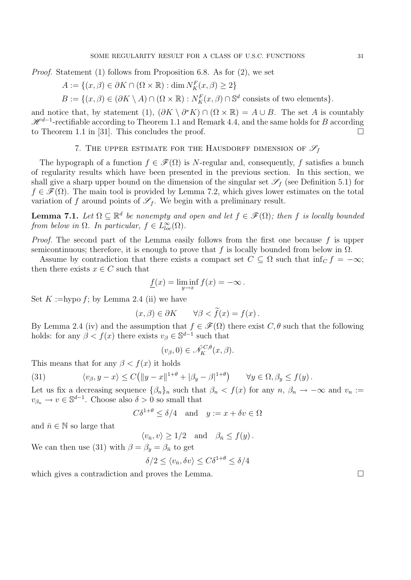Proof. Statement (1) follows from Proposition 6.8. As for (2), we set

$$
A := \{(x, \beta) \in \partial K \cap (\Omega \times \mathbb{R}) : \dim N_K^F(x, \beta) \ge 2\}
$$

 $B := \{(x, \beta) \in (\partial K \setminus A) \cap (\Omega \times \mathbb{R}) : N_K^F(x, \beta) \cap \mathbb{S}^d \text{ consists of two elements}\}.$ 

and notice that, by statement (1),  $(\partial K \setminus \partial^* K) \cap (\Omega \times \mathbb{R}) = A \cup B$ . The set A is countably  $\mathscr{H}^{d-1}$ -rectifiable according to Theorem 1.1 and Remark 4.4, and the same holds for B according to Theorem 1.1 in [31]. This concludes the proof.  $\Box$ 

7. THE UPPER ESTIMATE FOR THE HAUSDORFF DIMENSION OF  $\mathscr{S}_f$ 

The hypograph of a function  $f \in \mathscr{F}(\Omega)$  is N-regular and, consequently, f satisfies a bunch of regularity results which have been presented in the previous section. In this section, we shall give a sharp upper bound on the dimension of the singular set  $\mathscr{S}_f$  (see Definition 5.1) for  $f \in \mathscr{F}(\Omega)$ . The main tool is provided by Lemma 7.2, which gives lower estimates on the total variation of f around points of  $\mathscr{S}_f$ . We begin with a preliminary result.

**Lemma 7.1.** Let  $\Omega \subseteq \mathbb{R}^d$  be nonempty and open and let  $f \in \mathcal{F}(\Omega)$ ; then f is locally bounded from below in  $\Omega$ . In particular,  $f \in L^{\infty}_{loc}(\Omega)$ .

Proof. The second part of the Lemma easily follows from the first one because f is upper semicontinuous; therefore, it is enough to prove that f is locally bounded from below in  $\Omega$ .

Assume by contradiction that there exists a compact set  $C \subseteq \Omega$  such that  $\inf_C f = -\infty$ ; then there exists  $x \in C$  such that

$$
\underline{f}(x) = \liminf_{y \to x} f(x) = -\infty.
$$

Set  $K :=$ hypo  $f$ ; by Lemma 2.4 (ii) we have

$$
(x,\beta) \in \partial K \qquad \forall \beta < f(x) = f(x) \, .
$$

By Lemma 2.4 (iv) and the assumption that  $f \in \mathscr{F}(\Omega)$  there exist  $C, \theta$  such that the following holds: for any  $\beta < f(x)$  there exists  $v_{\beta} \in \mathbb{S}^{d-1}$  such that

$$
(v_{\beta},0) \in \hat{\mathcal{N}}_K^{C,\theta}(x,\beta).
$$

This means that for any  $\beta < f(x)$  it holds

(31) 
$$
\langle v_{\beta}, y - x \rangle \le C \left( \|y - x\|^{1+\theta} + |\beta_y - \beta|^{1+\theta} \right) \quad \forall y \in \Omega, \beta_y \le f(y).
$$

Let us fix a decreasing sequence  $\{\beta_n\}_n$  such that  $\beta_n < f(x)$  for any  $n, \beta_n \to -\infty$  and  $v_n :=$  $v_{\beta_n} \to v \in \mathbb{S}^{d-1}$ . Choose also  $\delta > 0$  so small that

$$
C\delta^{1+\theta} \le \delta/4 \quad \text{and} \quad y := x + \delta v \in \Omega
$$

and  $\bar{n} \in \mathbb{N}$  so large that

$$
\langle v_{\bar{n}}, v \rangle \ge 1/2
$$
 and  $\beta_{\bar{n}} \le f(y)$ .

We can then use (31) with  $\beta = \beta_y = \beta_{\bar{n}}$  to get

$$
\delta/2 \le \langle v_{\bar{n}}, \delta v \rangle \le C\delta^{1+\theta} \le \delta/4
$$

which gives a contradiction and proves the Lemma.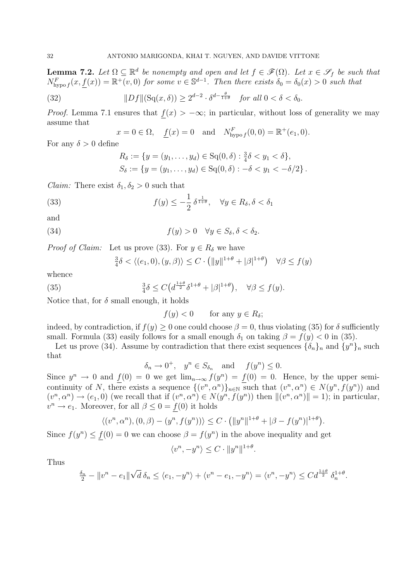**Lemma 7.2.** Let  $\Omega \subseteq \mathbb{R}^d$  be nonempty and open and let  $f \in \mathscr{F}(\Omega)$ . Let  $x \in \mathscr{S}_f$  be such that  $N^F_{\text{hypo }f}(x, \underline{f}(x)) = \mathbb{R}^+(v, 0)$  for some  $v \in \mathbb{S}^{d-1}$ . Then there exists  $\delta_0 = \delta_0(x) > 0$  such that

(32) 
$$
||Df||(\mathrm{Sq}(x,\delta)) \ge 2^{d-2} \cdot \delta^{d-\frac{\theta}{1+\theta}} \quad \text{for all } 0 < \delta < \delta_0.
$$

*Proof.* Lemma 7.1 ensures that  $f(x) > -\infty$ ; in particular, without loss of generality we may assume that

$$
x = 0 \in \Omega
$$
,  $\underline{f}(x) = 0$  and  $N^F_{\text{hypo } f}(0, 0) = \mathbb{R}^+(e_1, 0)$ .

For any  $\delta > 0$  define

$$
R_{\delta} := \{ y = (y_1, \dots, y_d) \in \text{Sq}(0, \delta) : \frac{3}{4}\delta < y_1 < \delta \},
$$
\n
$$
S_{\delta} := \{ y = (y_1, \dots, y_d) \in \text{Sq}(0, \delta) : -\delta < y_1 < -\delta/2 \} \,.
$$

*Claim:* There exist  $\delta_1, \delta_2 > 0$  such that

(33) 
$$
f(y) \leq -\frac{1}{2} \delta^{\frac{1}{1+\theta}}, \quad \forall y \in R_{\delta}, \delta < \delta_1
$$

and

(34) 
$$
f(y) > 0 \quad \forall y \in S_{\delta}, \delta < \delta_2.
$$

*Proof of Claim:* Let us prove (33). For  $y \in R_\delta$  we have

$$
\frac{3}{4}\delta < \langle (e_1, 0), (y, \beta) \rangle \le C \cdot \left( \|y\|^{1+\theta} + |\beta|^{1+\theta} \right) \quad \forall \beta \le f(y)
$$

whence

(35) 
$$
\frac{3}{4}\delta \le C\left(d^{\frac{1+\theta}{2}}\delta^{1+\theta} + |\beta|^{1+\theta}\right), \quad \forall \beta \le f(y).
$$

Notice that, for  $\delta$  small enough, it holds

 $f(y) < 0$  for any  $y \in R_\delta$ ;

indeed, by contradiction, if  $f(y) \geq 0$  one could choose  $\beta = 0$ , thus violating (35) for  $\delta$  sufficiently small. Formula (33) easily follows for a small enough  $\delta_1$  on taking  $\beta = f(y) < 0$  in (35).

Let us prove (34). Assume by contradiction that there exist sequences  $\{\delta_n\}_n$  and  $\{y^n\}_n$  such that

$$
\delta_n \to 0^+, \quad y^n \in S_{\delta_n}
$$
 and  $f(y^n) \leq 0$ .

Since  $y^n \to 0$  and  $\underline{f}(0) = 0$  we get  $\lim_{n\to\infty} f(y^n) = \underline{f}(0) = 0$ . Hence, by the upper semicontinuity of N, there exists a sequence  $\{(v^n, \alpha^n)\}_{n\in\mathbb{N}}$  such that  $(v^n, \alpha^n) \in N(y^n, f(y^n))$  and  $(v^n, \alpha^n) \to (e_1, 0)$  (we recall that if  $(v^n, \alpha^n) \in N(y^n, f(y^n))$  then  $||(v^n, \alpha^n)|| = 1$ ); in particular,  $v^n \to e_1$ . Moreover, for all  $\beta \leq 0 = \underline{f}(0)$  it holds

$$
\langle (v^n, \alpha^n), (0, \beta) - (y^n, f(y^n)) \rangle \leq C \cdot (||y^n||^{1+\theta} + |\beta - f(y^n)|^{1+\theta}).
$$

Since  $f(y^n) \leq \underline{f}(0) = 0$  we can choose  $\beta = f(y^n)$  in the above inequality and get

$$
\langle v^n, -y^n \rangle \le C \cdot ||y^n||^{1+\theta}.
$$

Thus

$$
\frac{\delta_n}{2} - \|v^n - e_1\| \sqrt{d} \, \delta_n \le \langle e_1, -y^n \rangle + \langle v^n - e_1, -y^n \rangle = \langle v^n, -y^n \rangle \le C d^{\frac{1+\theta}{2}} \, \delta_n^{1+\theta}.
$$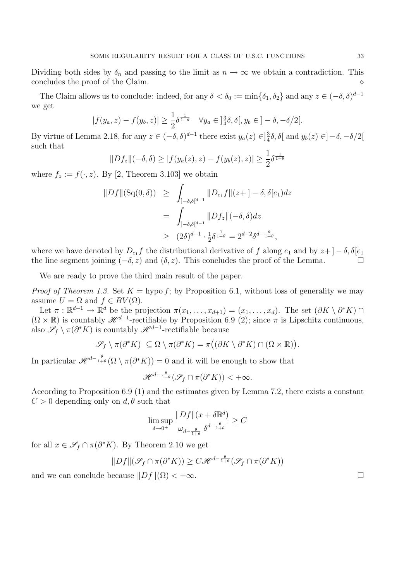Dividing both sides by  $\delta_n$  and passing to the limit as  $n \to \infty$  we obtain a contradiction. This concludes the proof of the Claim concludes the proof of the Claim.

The Claim allows us to conclude: indeed, for any  $\delta < \delta_0 := \min\{\delta_1, \delta_2\}$  and any  $z \in (-\delta, \delta)^{d-1}$ we get

$$
|f(y_a, z) - f(y_b, z)| \ge \frac{1}{2}\delta^{\frac{1}{1+\theta}} \quad \forall y_a \in ]\frac{3}{4}\delta, \delta[, y_b \in ]-\delta, -\delta/2[.
$$

By virtue of Lemma 2.18, for any  $z \in (-\delta, \delta)^{d-1}$  there exist  $y_a(z) \in ]\frac{3}{4}$  $\frac{3}{4}\delta$ ,  $\delta$ [ and  $y_b(z) \in ]-\delta, -\delta/2[$ such that

$$
||Df_z||(-\delta, \delta) \ge |f(y_a(z), z) - f(y_b(z), z)| \ge \frac{1}{2}\delta^{\frac{1}{1+\theta}}
$$

where  $f_z := f(\cdot, z)$ . By [2, Theorem 3.103] we obtain

$$
\|Df\|(\text{Sq}(0,\delta)) \ge \int_{]-\delta,\delta[^{d-1}} \|D_{e_1}f\|(z+]-\delta,\delta[e_1)dz
$$
  
= 
$$
\int_{]-\delta,\delta[^{d-1}} \|Df_z\|(-\delta,\delta)dz
$$
  

$$
\ge (2\delta)^{d-1} \cdot \frac{1}{2}\delta^{\frac{1}{1+\theta}} = 2^{d-2}\delta^{d-\frac{\theta}{1+\theta}},
$$

where we have denoted by  $D_{e_1}f$  the distributional derivative of f along  $e_1$  and by  $z+$   $]-\delta, \delta[e_1]$ the line segment joining  $(-\delta, z)$  and  $(\delta, z)$ . This concludes the proof of the Lemma.

We are ready to prove the third main result of the paper.

*Proof of Theorem 1.3.* Set  $K = \text{hypo } f$ ; by Proposition 6.1, without loss of generality we may assume  $U = \Omega$  and  $f \in BV(\Omega)$ .

Let  $\pi : \mathbb{R}^{d+1} \to \mathbb{R}^d$  be the projection  $\pi(x_1, \ldots, x_{d+1}) = (x_1, \ldots, x_d)$ . The set  $(\partial K \setminus \partial^* K) \cap$  $(\Omega \times \mathbb{R})$  is countably  $\mathcal{H}^{d-1}$ -rectifiable by Proposition 6.9 (2); since  $\pi$  is Lipschitz continuous, also  $\mathscr{S}_f \setminus \pi(\partial^* K)$  is countably  $\mathscr{H}^{d-1}$ -rectifiable because

$$
\mathscr{S}_f \setminus \pi(\partial^* K) \subseteq \Omega \setminus \pi(\partial^* K) = \pi((\partial K \setminus \partial^* K) \cap (\Omega \times \mathbb{R})).
$$

In particular  $\mathscr{H}^{d-\frac{\theta}{1+\theta}}(\Omega \setminus \pi(\partial^*K)) = 0$  and it will be enough to show that

$$
\mathscr{H}^{d-\frac{\theta}{1+\theta}}(\mathscr{S}_f \cap \pi(\partial^*K)) < +\infty.
$$

According to Proposition 6.9 (1) and the estimates given by Lemma 7.2, there exists a constant  $C > 0$  depending only on  $d, \theta$  such that

$$
\limsup_{\delta \to 0^+} \frac{\|Df\|(x + \delta \mathbb{B}^d)}{\omega_{d - \frac{\theta}{1 + \theta}}} \ge C
$$

for all  $x \in \mathscr{S}_f \cap \pi(\partial^* K)$ . By Theorem 2.10 we get

$$
||Df||(\mathcal{S}_f \cap \pi(\partial^* K)) \ge C\mathcal{H}^{d - \frac{\theta}{1+\theta}}(\mathcal{S}_f \cap \pi(\partial^* K))
$$

and we can conclude because  $||Df||(\Omega) < +\infty$ .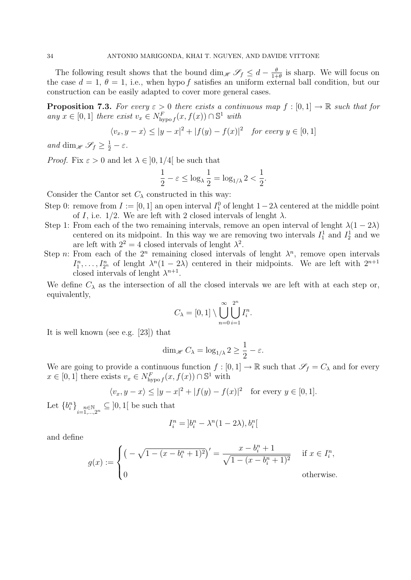The following result shows that the bound dim<sub>H</sub>  $\mathscr{S}_f \leq d - \frac{6}{1+}$  $\frac{\theta}{1+\theta}$  is sharp. We will focus on the case  $d = 1, \theta = 1$ , i.e., when hypo f satisfies an uniform external ball condition, but our construction can be easily adapted to cover more general cases.

**Proposition 7.3.** For every  $\varepsilon > 0$  there exists a continuous map  $f : [0, 1] \to \mathbb{R}$  such that for any  $x \in [0, 1]$  there exist  $v_x \in N^F_{\text{hypo } f}(x, f(x)) \cap \mathbb{S}^1$  with

$$
\langle v_x, y - x \rangle \le |y - x|^2 + |f(y) - f(x)|^2 \quad \text{for every } y \in [0, 1]
$$

and dim<sub>H</sub>  $\mathscr{S}_f \geq \frac{1}{2} - \varepsilon$ .

*Proof.* Fix  $\varepsilon > 0$  and let  $\lambda \in [0, 1/4]$  be such that

$$
\frac{1}{2} - \varepsilon \le \log_{\lambda} \frac{1}{2} = \log_{1/\lambda} 2 < \frac{1}{2}.
$$

Consider the Cantor set  $C_{\lambda}$  constructed in this way:

- Step 0: remove from  $I := [0, 1]$  an open interval  $I_1^0$  of lenght  $1 2\lambda$  centered at the middle point of I, i.e.  $1/2$ . We are left with 2 closed intervals of lenght  $\lambda$ .
- Step 1: From each of the two remaining intervals, remove an open interval of lenght  $\lambda(1-2\lambda)$ centered on its midpoint. In this way we are removing two intervals  $I_1^1$  and  $I_2^1$  and we are left with  $2^2 = 4$  closed intervals of lenght  $\lambda^2$ .
- Step n: From each of the  $2^n$  remaining closed intervals of lenght  $\lambda^n$ , remove open intervals  $I_1^n, \ldots, I_{2^n}^n$  of lenght  $\lambda^n(1-2\lambda)$  centered in their midpoints. We are left with  $2^{n+1}$ closed intervals of lenght  $\lambda^{n+1}$ .

We define  $C_{\lambda}$  as the intersection of all the closed intervals we are left with at each step or, equivalently,

$$
C_{\lambda} = [0, 1] \setminus \bigcup_{n=0}^{\infty} \bigcup_{i=1}^{2^n} I_i^n.
$$

It is well known (see e.g. [23]) that

$$
\dim_{\mathscr{H}} C_{\lambda} = \log_{1/\lambda} 2 \ge \frac{1}{2} - \varepsilon.
$$

We are going to provide a continuous function  $f : [0,1] \to \mathbb{R}$  such that  $\mathscr{S}_f = C_\lambda$  and for every  $x \in [0,1]$  there exists  $v_x \in N^F_{\text{hypo}}(x, f(x)) \cap \mathbb{S}^1$  with

$$
\langle v_x, y - x \rangle \le |y - x|^2 + |f(y) - f(x)|^2
$$
 for every  $y \in [0, 1]$ .

Let  ${b_i^n}_{i=1,\dots,2^n} \subseteq ]0,1[$  be such that

$$
I_i^n = \left[b_i^n - \lambda^n (1 - 2\lambda), b_i^n\right]
$$

and define

$$
g(x) := \begin{cases} \left( -\sqrt{1 - (x - b_i^n + 1)^2} \right)' = \frac{x - b_i^n + 1}{\sqrt{1 - (x - b_i^n + 1)^2}} & \text{if } x \in I_i^n, \\ 0 & \text{otherwise.} \end{cases}
$$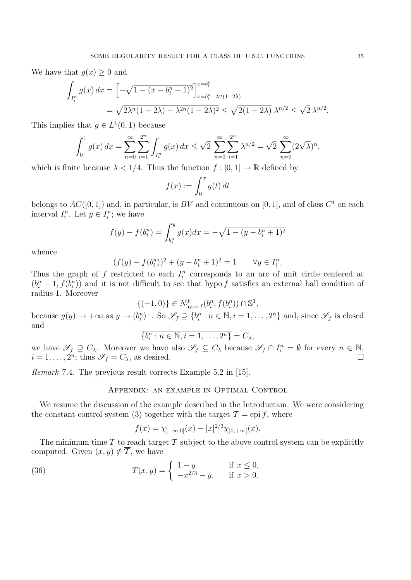We have that  $q(x) \geq 0$  and

$$
\int_{I_i^n} g(x) dx = \left[ -\sqrt{1 - (x - b_i^n + 1)^2} \right]_{x = b_i^n - \lambda^n (1 - 2\lambda)}^{x = b_i^n}
$$
  
=  $\sqrt{2\lambda^n (1 - 2\lambda) - \lambda^{2n} (1 - 2\lambda)^2} \le \sqrt{2(1 - 2\lambda)} \lambda^{n/2} \le \sqrt{2} \lambda^{n/2}.$ 

This implies that  $g \in L^1(0,1)$  because

$$
\int_0^1 g(x) dx = \sum_{n=0}^\infty \sum_{i=1}^{2^n} \int_{I_i^n} g(x) dx \le \sqrt{2} \sum_{n=0}^\infty \sum_{i=1}^{2^n} \lambda^{n/2} = \sqrt{2} \sum_{n=0}^\infty (2\sqrt{\lambda})^n,
$$

which is finite because  $\lambda < 1/4$ . Thus the function  $f : [0, 1] \to \mathbb{R}$  defined by

$$
f(x) := \int_0^x g(t) \, dt
$$

belongs to  $AC([0, 1])$  and, in particular, is BV and continuous on [0, 1], and of class  $C^1$  on each interval  $I_i^n$ . Let  $y \in I_i^n$ ; we have

$$
f(y) - f(b_i^n) = \int_{b_i^n}^y g(x)dx = -\sqrt{1 - (y - b_i^n + 1)^2}
$$

whence

$$
(f(y) - f(b_i^n))^2 + (y - b_i^n + 1)^2 = 1 \qquad \forall y \in I_i^n.
$$

Thus the graph of f restricted to each  $I_i^n$  corresponds to an arc of unit circle centered at  $(b_i^n - 1, f(b_i^n))$  and it is not difficult to see that hypo f satisfies an external ball condition of radius 1. Moreover

$$
\{(-1,0)\}\in N^F_{\text{hypo }f}(b_i^n,f(b_i^n))\cap \mathbb{S}^1,
$$

because  $g(y) \to +\infty$  as  $y \to (b_i^n)^-$ . So  $\mathscr{S}_f \supseteq \{b_i^n : n \in \mathbb{N}, i = 1, \ldots, 2^n\}$  and, since  $\mathscr{S}_f$  is closed and

$$
\overline{\{b_i^n : n \in \mathbb{N}, i = 1, \dots, 2^n\}} = C_{\lambda},
$$

we have  $\mathscr{S}_f \supseteq C_\lambda$ . Moreover we have also  $\mathscr{S}_f \subseteq C_\lambda$  because  $\mathscr{S}_f \cap I_i^n = \emptyset$  for every  $n \in \mathbb{N}$ ,  $i = 1, \ldots, 2^n$ ; thus  $\mathscr{S}_f = C_\lambda$ , as desired.

Remark 7.4. The previous result corrects Example 5.2 in [15].

#### Appendix: an example in Optimal Control

We resume the discussion of the example described in the Introduction. We were considering the constant control system (3) together with the target  $\mathcal{T} = e$  pi f, where

$$
f(x) = \chi_{]-\infty,0]}(x) - |x|^{2/3} \chi_{]0,+\infty[}(x).
$$

The minimum time T to reach target  $\mathcal T$  subject to the above control system can be explicitly computed. Given  $(x, y) \notin \overline{T}$ , we have

(36) 
$$
T(x,y) = \begin{cases} 1-y & \text{if } x \le 0, \\ -x^{2/3} - y, & \text{if } x > 0. \end{cases}
$$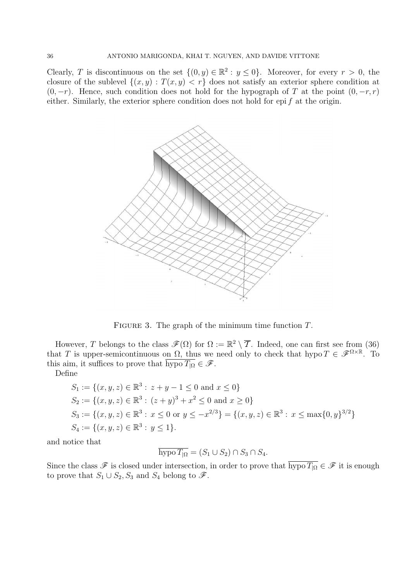Clearly, T is discontinuous on the set  $\{(0, y) \in \mathbb{R}^2 : y \le 0\}$ . Moreover, for every  $r > 0$ , the closure of the sublevel  $\{(x, y) : T(x, y) < r\}$  does not satisfy an exterior sphere condition at  $(0, -r)$ . Hence, such condition does not hold for the hypograph of T at the point  $(0, -r, r)$ either. Similarly, the exterior sphere condition does not hold for epi  $f$  at the origin.



FIGURE 3. The graph of the minimum time function  $T$ .

However, T belongs to the class  $\mathscr{F}(\Omega)$  for  $\Omega := \mathbb{R}^2 \setminus \overline{\mathcal{T}}$ . Indeed, one can first see from (36) that T is upper-semicontinuous on  $\Omega$ , thus we need only to check that hypo  $T \in \mathscr{F}^{\Omega \times \mathbb{R}}$ . To this aim, it suffices to prove that  $\overline{\text{hypo }T_{\vert\Omega}} \in \mathscr{F}$ .

Define

$$
S_1 := \{(x, y, z) \in \mathbb{R}^3 : z + y - 1 \le 0 \text{ and } x \le 0\}
$$
  
\n
$$
S_2 := \{(x, y, z) \in \mathbb{R}^3 : (z + y)^3 + x^2 \le 0 \text{ and } x \ge 0\}
$$
  
\n
$$
S_3 := \{(x, y, z) \in \mathbb{R}^3 : x \le 0 \text{ or } y \le -x^{2/3}\} = \{(x, y, z) \in \mathbb{R}^3 : x \le \max\{0, y\}^{3/2}\}
$$
  
\n
$$
S_4 := \{(x, y, z) \in \mathbb{R}^3 : y \le 1\}.
$$

and notice that

$$
\overline{\text{hypo }T_{|\Omega}} = (S_1 \cup S_2) \cap S_3 \cap S_4.
$$

Since the class  $\mathscr F$  is closed under intersection, in order to prove that  $\overline{\text{hypo }T_{\vert\Omega}} \in \mathscr F$  it is enough to prove that  $S_1 \cup S_2$ ,  $S_3$  and  $S_4$  belong to  $\mathscr{F}$ .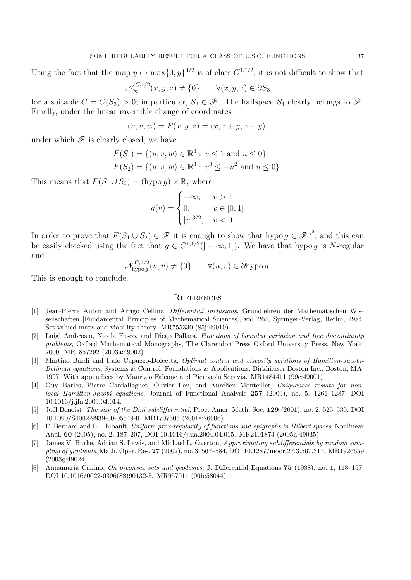Using the fact that the map  $y \mapsto \max\{0, y\}^{3/2}$  is of class  $C^{1,1/2}$ , it is not difficult to show that

$$
\mathcal{N}_{S_3}^{C,1/2}(x,y,z) \neq \{0\} \qquad \forall (x,y,z) \in \partial S_3
$$

for a suitable  $C = C(S_3) > 0$ ; in particular,  $S_3 \in \mathcal{F}$ . The halfspace  $S_4$  clearly belongs to  $\mathcal{F}$ . Finally, under the linear invertible change of coordinates

$$
(u, v, w) = F(x, y, z) = (x, z + y, z - y),
$$

under which  $\mathscr F$  is clearly closed, we have

$$
F(S_1) = \{(u, v, w) \in \mathbb{R}^3 : v \le 1 \text{ and } u \le 0\}
$$
  

$$
F(S_2) = \{(u, v, w) \in \mathbb{R}^3 : v^3 \le -u^2 \text{ and } u \le 0\}.
$$

This means that  $F(S_1 \cup S_2) = (hypo\ g) \times \mathbb{R}$ , where

$$
g(v) = \begin{cases} -\infty, & v > 1 \\ 0, & v \in [0, 1] \\ |v|^{3/2}, & v < 0. \end{cases}
$$

In order to prove that  $F(S_1 \cup S_2) \in \mathscr{F}$  it is enough to show that hypo  $g \in \mathscr{F}^{\mathbb{R}^2}$ , and this can be easily checked using the fact that  $g \in C^{1,1/2}(-\infty,1]$ ). We have that hypo g is N-regular and

$$
\mathcal{N}_{\text{hypog}}^{C,1/2}(u,v) \neq \{0\} \qquad \forall (u,v) \in \partial \text{hypo } g.
$$

This is enough to conclude.

#### **REFERENCES**

- [1] Jean-Pierre Aubin and Arrigo Cellina, Differential inclusions, Grundlehren der Mathematischen Wissenschaften [Fundamental Principles of Mathematical Sciences], vol. 264, Springer-Verlag, Berlin, 1984. Set-valued maps and viability theory. MR755330 (85j:49010)
- [2] Luigi Ambrosio, Nicola Fusco, and Diego Pallara, Functions of bounded variation and free discontinuity problems, Oxford Mathematical Monographs, The Clarendon Press Oxford University Press, New York, 2000. MR1857292 (2003a:49002)
- [3] Martino Bardi and Italo Capuzzo-Dolcetta, Optimal control and viscosity solutions of Hamilton-Jacobi-Bellman equations, Systems & Control: Foundations & Applications, Birkhäuser Boston Inc., Boston, MA, 1997. With appendices by Maurizio Falcone and Pierpaolo Soravia. MR1484411 (99e:49001)
- [4] Guy Barles, Pierre Cardaliaguet, Olivier Ley, and Aurélien Monteillet, Uniqueness results for nonlocal Hamilton-Jacobi equations, Journal of Functional Analysis 257 (2009), no. 5, 1261–1287, DOI 10.1016/j.jfa.2009.04.014.
- [5] Joël Benoist, *The size of the Dini subdifferential*, Proc. Amer. Math. Soc. 129 (2001), no. 2, 525–530, DOI 10.1090/S0002-9939-00-05549-0. MR1707505 (2001e:26006)
- [6] F. Bernard and L. Thibault, Uniform prox-regularity of functions and epigraphs in Hilbert spaces, Nonlinear Anal. 60 (2005), no. 2, 187–207, DOI 10.1016/j.na.2004.04.015. MR2101873 (2005h:49035)
- [7] James V. Burke, Adrian S. Lewis, and Michael L. Overton, Approximating subdifferentials by random sampling of gradients, Math. Oper. Res. 27 (2002), no. 3, 567–584, DOI 10.1287/moor.27.3.567.317. MR1926659 (2003g:49024)
- [8] Annamaria Canino, On p-convex sets and geodesics, J. Differential Equations 75 (1988), no. 1, 118–157, DOI 10.1016/0022-0396(88)90132-5. MR957011 (90b:58044)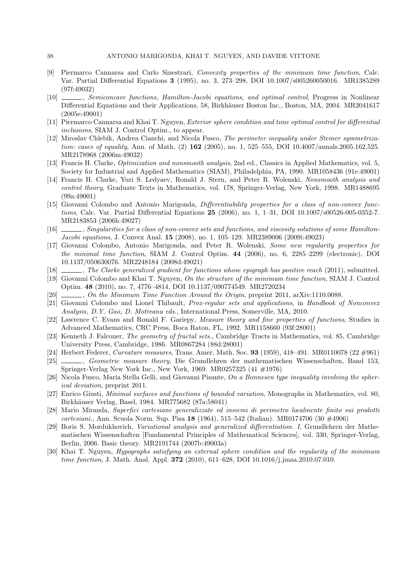- [9] Piermarco Cannarsa and Carlo Sinestrari, Convexity properties of the minimum time function, Calc. Var. Partial Differential Equations 3 (1995), no. 3, 273–298, DOI 10.1007/s005260050016. MR1385289 (97f:49032)
- [10] , Semiconcave functions, Hamilton-Jacobi equations, and optimal control, Progress in Nonlinear Differential Equations and their Applications, 58, Birkhäuser Boston Inc., Boston, MA, 2004. MR2041617 (2005e:49001)
- [11] Piermarco Cannarsa and Khai T. Nguyen, Exterior sphere condition and time optimal control for differential inclusions, SIAM J. Control Optim., to appear.
- [12] Miroslav Chlebík, Andrea Cianchi, and Nicola Fusco, The perimeter inequality under Steiner symmetrization: cases of equality, Ann. of Math. (2)  $162$  (2005), no. 1, 525–555, DOI 10.4007/annals.2005.162.525. MR2178968 (2006m:49032)
- [13] Francis H. Clarke, Optimization and nonsmooth analysis, 2nd ed., Classics in Applied Mathematics, vol. 5, Society for Industrial and Applied Mathematics (SIAM), Philadelphia, PA, 1990. MR1058436 (91e:49001)
- [14] Francis H. Clarke, Yuri S. Ledyaev, Ronald J. Stern, and Peter R. Wolenski, Nonsmooth analysis and control theory, Graduate Texts in Mathematics, vol. 178, Springer-Verlag, New York, 1998. MR1488695 (99a:49001)
- [15] Giovanni Colombo and Antonio Marigonda, Differentiability properties for a class of non-convex functions, Calc. Var. Partial Differential Equations 25 (2006), no. 1, 1–31, DOI 10.1007/s00526-005-0352-7. MR2183853 (2006h:49027)
- [16] , Singularities for a class of non-convex sets and functions, and viscosity solutions of some Hamilton-Jacobi equations, J. Convex Anal. 15 (2008), no. 1, 105–129. MR2389006 (2009i:49023)
- [17] Giovanni Colombo, Antonio Marigonda, and Peter R. Wolenski, Some new regularity properties for the minimal time function, SIAM J. Control Optim. 44 (2006), no. 6, 2285–2299 (electronic), DOI 10.1137/050630076. MR2248184 (2008d:49021)
- [18] , The Clarke generalized gradient for functions whose epigraph has positive reach (2011), submitted.
- [19] Giovanni Colombo and Khai T. Nguyen, On the structure of the minimum time function, SIAM J. Control Optim. 48 (2010), no. 7, 4776–4814, DOI 10.1137/090774549. MR2720234
- [20]  $\ldots$ , On the Minimum Time Function Around the Origin, preprint 2011, arXiv:1110.0088.
- [21] Giovanni Colombo and Lionel Thibault, Prox-regular sets and applications, in Handbook of Nonconvex Analysis, D.Y. Gao, D. Motreanu eds., International Press, Somerville, MA, 2010.
- [22] Lawrence C. Evans and Ronald F. Gariepy, Measure theory and fine properties of functions, Studies in Advanced Mathematics, CRC Press, Boca Raton, FL, 1992. MR1158660 (93f:28001)
- [23] Kenneth J. Falconer, *The geometry of fractal sets.*, Cambridge Tracts in Mathematics, vol. 85, Cambridge University Press, Cambridge, 1986. MR0867284 (88d:28001)
- [24] Herbert Federer, Curvature measures, Trans. Amer. Math. Soc. **93** (1959), 418–491. MR0110078 (22 #961)
- [25] , Geometric measure theory, Die Grundlehren der mathematischen Wissenschaften, Band 153, Springer-Verlag New York Inc., New York, 1969. MR0257325 (41 #1976)
- [26] Nicola Fusco, Maria Stella Gelli, and Giovanni Pisante, On a Bonnesen type inequality involving the spherical deviation, preprint 2011.
- [27] Enrico Giusti, Minimal surfaces and functions of bounded variation, Monographs in Mathematics, vol. 80, Birkhäuser Verlag, Basel, 1984. MR775682 (87a:58041)
- [28] Mario Miranda, Superfici cartesiane generalizzate ed insiemi di perimetro localmente finito sui prodotti cartesiani., Ann. Scuola Norm. Sup. Pisa 18 (1964), 515–542 (Italian). MR0174706 (30 #4906)
- [29] Boris S. Mordukhovich, Variational analysis and generalized differentiation. I, Grundlehren der Mathematischen Wissenschaften [Fundamental Principles of Mathematical Sciences], vol. 330, Springer-Verlag, Berlin, 2006. Basic theory. MR2191744 (2007b:49003a)
- [30] Khai T. Nguyen, Hypographs satisfying an external sphere condition and the regularity of the minimum time function, J. Math. Anal. Appl. **372** (2010), 611–628, DOI 10.1016/j.jmaa.2010.07.010.